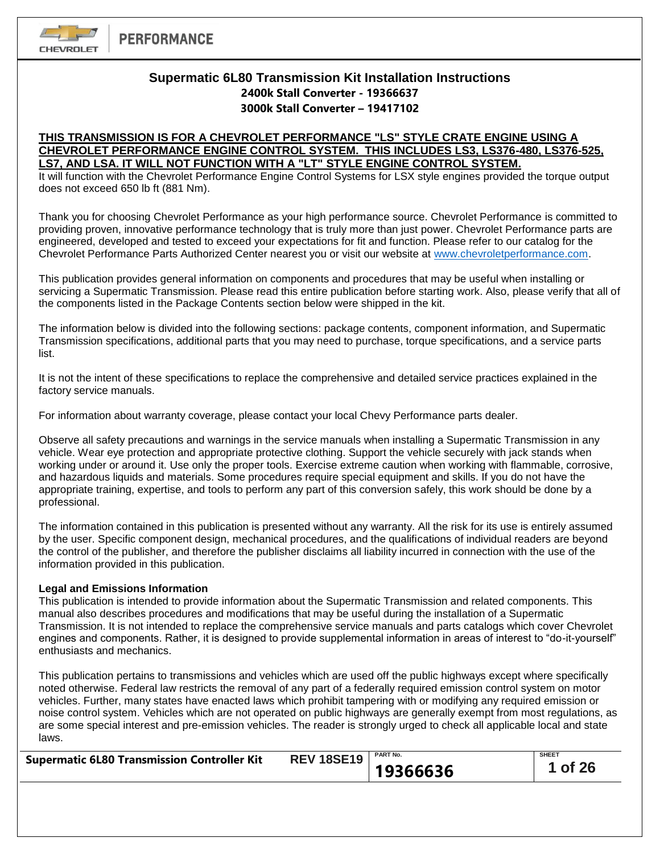

# **Supermatic 6L80 Transmission Kit Installation Instructions 2400k Stall Converter - 19366637 3000k Stall Converter – 19417102**

# **THIS TRANSMISSION IS FOR A CHEVROLET PERFORMANCE "LS" STYLE CRATE ENGINE USING A CHEVROLET PERFORMANCE ENGINE CONTROL SYSTEM. THIS INCLUDES LS3, LS376-480, LS376-525, LS7, AND LSA. IT WILL NOT FUNCTION WITH A "LT" STYLE ENGINE CONTROL SYSTEM.**

It will function with the Chevrolet Performance Engine Control Systems for LSX style engines provided the torque output does not exceed 650 lb ft (881 Nm).

Thank you for choosing Chevrolet Performance as your high performance source. Chevrolet Performance is committed to providing proven, innovative performance technology that is truly more than just power. Chevrolet Performance parts are engineered, developed and tested to exceed your expectations for fit and function. Please refer to our catalog for the Chevrolet Performance Parts Authorized Center nearest you or visit our website at [www.chevroletperformance.com.](http://www.chevroletperformance.com/)

This publication provides general information on components and procedures that may be useful when installing or servicing a Supermatic Transmission. Please read this entire publication before starting work. Also, please verify that all of the components listed in the Package Contents section below were shipped in the kit.

The information below is divided into the following sections: package contents, component information, and Supermatic Transmission specifications, additional parts that you may need to purchase, torque specifications, and a service parts list.

It is not the intent of these specifications to replace the comprehensive and detailed service practices explained in the factory service manuals.

For information about warranty coverage, please contact your local Chevy Performance parts dealer.

Observe all safety precautions and warnings in the service manuals when installing a Supermatic Transmission in any vehicle. Wear eye protection and appropriate protective clothing. Support the vehicle securely with jack stands when working under or around it. Use only the proper tools. Exercise extreme caution when working with flammable, corrosive, and hazardous liquids and materials. Some procedures require special equipment and skills. If you do not have the appropriate training, expertise, and tools to perform any part of this conversion safely, this work should be done by a professional.

The information contained in this publication is presented without any warranty. All the risk for its use is entirely assumed by the user. Specific component design, mechanical procedures, and the qualifications of individual readers are beyond the control of the publisher, and therefore the publisher disclaims all liability incurred in connection with the use of the information provided in this publication.

## **Legal and Emissions Information**

This publication is intended to provide information about the Supermatic Transmission and related components. This manual also describes procedures and modifications that may be useful during the installation of a Supermatic Transmission. It is not intended to replace the comprehensive service manuals and parts catalogs which cover Chevrolet engines and components. Rather, it is designed to provide supplemental information in areas of interest to "do-it-yourself" enthusiasts and mechanics.

This publication pertains to transmissions and vehicles which are used off the public highways except where specifically noted otherwise. Federal law restricts the removal of any part of a federally required emission control system on motor vehicles. Further, many states have enacted laws which prohibit tampering with or modifying any required emission or noise control system. Vehicles which are not operated on public highways are generally exempt from most regulations, as are some special interest and pre-emission vehicles. The reader is strongly urged to check all applicable local and state laws.

| <b>Supermatic 6L80 Transmission Controller Kit</b> | <b>REV 18SE19</b>   PART No. |          | <b>SHEET</b> |
|----------------------------------------------------|------------------------------|----------|--------------|
|                                                    |                              | 19366636 | 1 of 26      |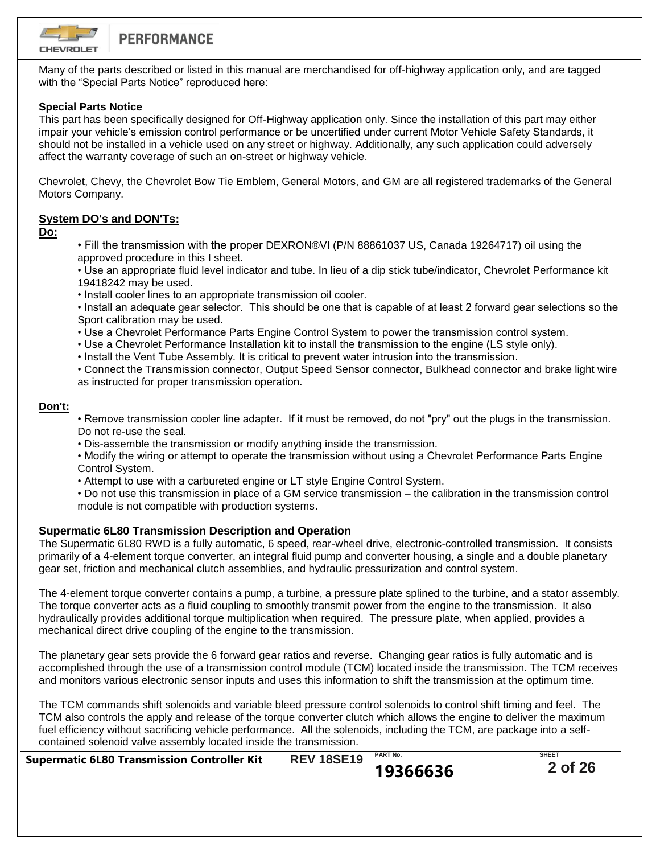

Many of the parts described or listed in this manual are merchandised for off-highway application only, and are tagged with the "Special Parts Notice" reproduced here:

# **Special Parts Notice**

This part has been specifically designed for Off-Highway application only. Since the installation of this part may either impair your vehicle's emission control performance or be uncertified under current Motor Vehicle Safety Standards, it should not be installed in a vehicle used on any street or highway. Additionally, any such application could adversely affect the warranty coverage of such an on-street or highway vehicle.

Chevrolet, Chevy, the Chevrolet Bow Tie Emblem, General Motors, and GM are all registered trademarks of the General Motors Company.

# **System DO's and DON'Ts:**

**Do:**

• Fill the transmission with the proper DEXRON®VI (P/N 88861037 US, Canada 19264717) oil using the approved procedure in this I sheet.

• Use an appropriate fluid level indicator and tube. In lieu of a dip stick tube/indicator, Chevrolet Performance kit 19418242 may be used.

• Install cooler lines to an appropriate transmission oil cooler.

• Install an adequate gear selector. This should be one that is capable of at least 2 forward gear selections so the Sport calibration may be used.

• Use a Chevrolet Performance Parts Engine Control System to power the transmission control system.

• Use a Chevrolet Performance Installation kit to install the transmission to the engine (LS style only).

• Install the Vent Tube Assembly. It is critical to prevent water intrusion into the transmission.

• Connect the Transmission connector, Output Speed Sensor connector, Bulkhead connector and brake light wire as instructed for proper transmission operation.

# **Don't:**

• Remove transmission cooler line adapter. If it must be removed, do not "pry" out the plugs in the transmission. Do not re-use the seal.

• Dis-assemble the transmission or modify anything inside the transmission.

• Modify the wiring or attempt to operate the transmission without using a Chevrolet Performance Parts Engine Control System.

• Attempt to use with a carbureted engine or LT style Engine Control System.

• Do not use this transmission in place of a GM service transmission – the calibration in the transmission control module is not compatible with production systems.

# **Supermatic 6L80 Transmission Description and Operation**

The Supermatic 6L80 RWD is a fully automatic, 6 speed, rear-wheel drive, electronic-controlled transmission. It consists primarily of a 4-element torque converter, an integral fluid pump and converter housing, a single and a double planetary gear set, friction and mechanical clutch assemblies, and hydraulic pressurization and control system.

The 4-element torque converter contains a pump, a turbine, a pressure plate splined to the turbine, and a stator assembly. The torque converter acts as a fluid coupling to smoothly transmit power from the engine to the transmission. It also hydraulically provides additional torque multiplication when required. The pressure plate, when applied, provides a mechanical direct drive coupling of the engine to the transmission.

The planetary gear sets provide the 6 forward gear ratios and reverse. Changing gear ratios is fully automatic and is accomplished through the use of a transmission control module (TCM) located inside the transmission. The TCM receives and monitors various electronic sensor inputs and uses this information to shift the transmission at the optimum time.

The TCM commands shift solenoids and variable bleed pressure control solenoids to control shift timing and feel. The TCM also controls the apply and release of the torque converter clutch which allows the engine to deliver the maximum fuel efficiency without sacrificing vehicle performance. All the solenoids, including the TCM, are package into a selfcontained solenoid valve assembly located inside the transmission.

| <b>Supermatic 6L80 Transmission Controller Kit</b> | <b>REV 18SE19</b> PART No. |          | <b>SHEET</b> |
|----------------------------------------------------|----------------------------|----------|--------------|
|                                                    |                            | 19366636 | 2 of 26      |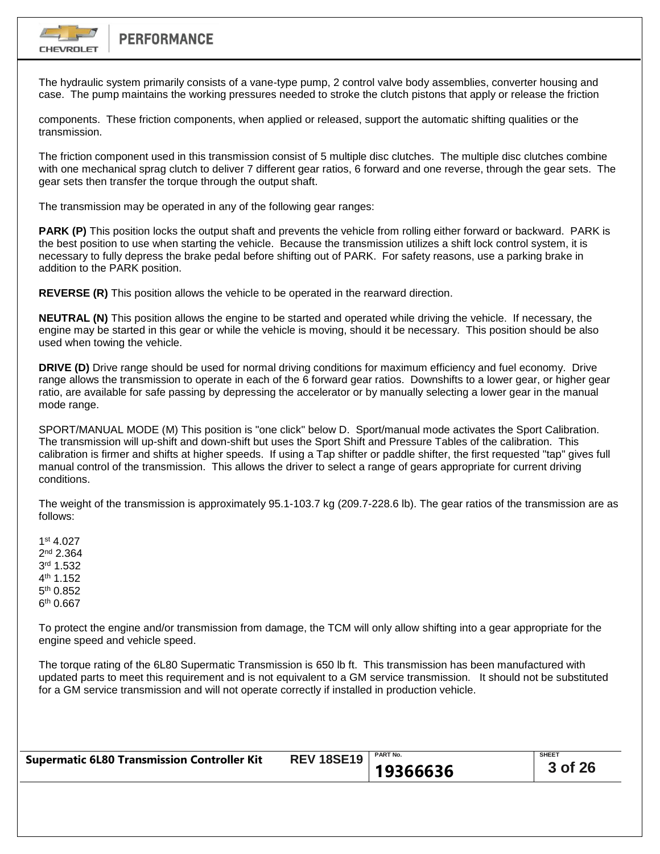

The hydraulic system primarily consists of a vane-type pump, 2 control valve body assemblies, converter housing and case. The pump maintains the working pressures needed to stroke the clutch pistons that apply or release the friction

components. These friction components, when applied or released, support the automatic shifting qualities or the transmission.

The friction component used in this transmission consist of 5 multiple disc clutches. The multiple disc clutches combine with one mechanical sprag clutch to deliver 7 different gear ratios, 6 forward and one reverse, through the gear sets. The gear sets then transfer the torque through the output shaft.

The transmission may be operated in any of the following gear ranges:

**PARK (P)** This position locks the output shaft and prevents the vehicle from rolling either forward or backward. PARK is the best position to use when starting the vehicle. Because the transmission utilizes a shift lock control system, it is necessary to fully depress the brake pedal before shifting out of PARK. For safety reasons, use a parking brake in addition to the PARK position.

**REVERSE (R)** This position allows the vehicle to be operated in the rearward direction.

**NEUTRAL (N)** This position allows the engine to be started and operated while driving the vehicle. If necessary, the engine may be started in this gear or while the vehicle is moving, should it be necessary. This position should be also used when towing the vehicle.

**DRIVE (D)** Drive range should be used for normal driving conditions for maximum efficiency and fuel economy. Drive range allows the transmission to operate in each of the 6 forward gear ratios. Downshifts to a lower gear, or higher gear ratio, are available for safe passing by depressing the accelerator or by manually selecting a lower gear in the manual mode range.

SPORT/MANUAL MODE (M) This position is "one click" below D. Sport/manual mode activates the Sport Calibration. The transmission will up-shift and down-shift but uses the Sport Shift and Pressure Tables of the calibration. This calibration is firmer and shifts at higher speeds. If using a Tap shifter or paddle shifter, the first requested "tap" gives full manual control of the transmission. This allows the driver to select a range of gears appropriate for current driving conditions.

The weight of the transmission is approximately 95.1-103.7 kg (209.7-228.6 lb). The gear ratios of the transmission are as follows:

1 st 4.027 2 nd 2.364 3 rd 1.532 4 th 1.152 5<sup>th</sup> 0.852 6 th 0.667

To protect the engine and/or transmission from damage, the TCM will only allow shifting into a gear appropriate for the engine speed and vehicle speed.

The torque rating of the 6L80 Supermatic Transmission is 650 lb ft. This transmission has been manufactured with updated parts to meet this requirement and is not equivalent to a GM service transmission. It should not be substituted for a GM service transmission and will not operate correctly if installed in production vehicle.

| <b>Supermatic 6L80 Transmission Controller Kit</b> | <b>REV 18SE19</b> PART No. |          | <b>SHEET</b> |
|----------------------------------------------------|----------------------------|----------|--------------|
|                                                    |                            | 19366636 | 3 of 26      |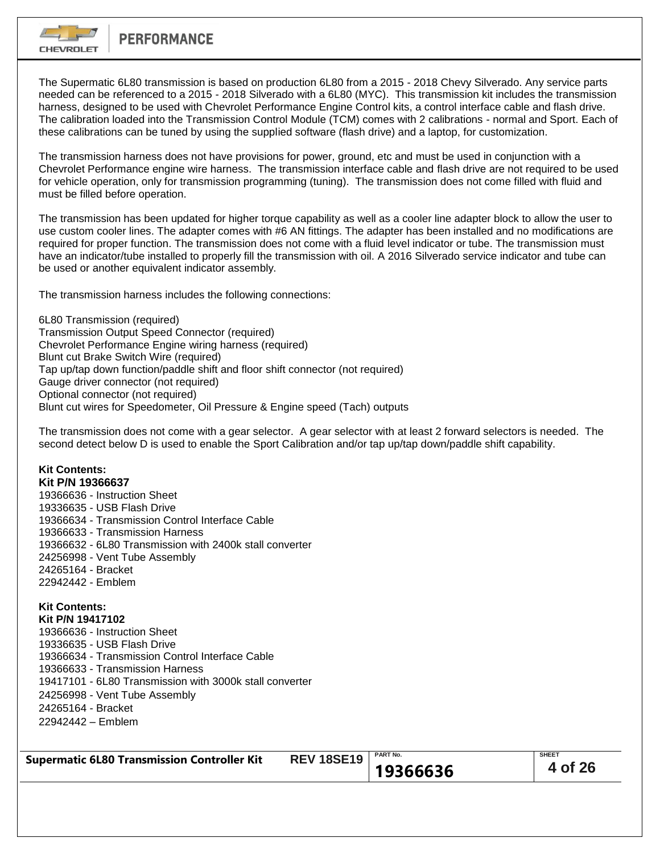

The Supermatic 6L80 transmission is based on production 6L80 from a 2015 - 2018 Chevy Silverado. Any service parts needed can be referenced to a 2015 - 2018 Silverado with a 6L80 (MYC). This transmission kit includes the transmission harness, designed to be used with Chevrolet Performance Engine Control kits, a control interface cable and flash drive. The calibration loaded into the Transmission Control Module (TCM) comes with 2 calibrations - normal and Sport. Each of these calibrations can be tuned by using the supplied software (flash drive) and a laptop, for customization.

The transmission harness does not have provisions for power, ground, etc and must be used in conjunction with a Chevrolet Performance engine wire harness. The transmission interface cable and flash drive are not required to be used for vehicle operation, only for transmission programming (tuning). The transmission does not come filled with fluid and must be filled before operation.

The transmission has been updated for higher torque capability as well as a cooler line adapter block to allow the user to use custom cooler lines. The adapter comes with #6 AN fittings. The adapter has been installed and no modifications are required for proper function. The transmission does not come with a fluid level indicator or tube. The transmission must have an indicator/tube installed to properly fill the transmission with oil. A 2016 Silverado service indicator and tube can be used or another equivalent indicator assembly.

The transmission harness includes the following connections:

6L80 Transmission (required) Transmission Output Speed Connector (required) Chevrolet Performance Engine wiring harness (required) Blunt cut Brake Switch Wire (required) Tap up/tap down function/paddle shift and floor shift connector (not required) Gauge driver connector (not required) Optional connector (not required) Blunt cut wires for Speedometer, Oil Pressure & Engine speed (Tach) outputs

The transmission does not come with a gear selector. A gear selector with at least 2 forward selectors is needed. The second detect below D is used to enable the Sport Calibration and/or tap up/tap down/paddle shift capability.

#### **Kit Contents: Kit P/N 19366637**

19366636 - Instruction Sheet 19336635 - USB Flash Drive 19366634 - Transmission Control Interface Cable 19366633 - Transmission Harness 19366632 - 6L80 Transmission with 2400k stall converter 24256998 - Vent Tube Assembly 24265164 - Bracket 22942442 - Emblem

#### **Kit Contents: Kit P/N 19417102**

19366636 - Instruction Sheet 19336635 - USB Flash Drive 19366634 - Transmission Control Interface Cable 19366633 - Transmission Harness 19417101 - 6L80 Transmission with 3000k stall converter 24256998 - Vent Tube Assembly 24265164 - Bracket 22942442 – Emblem

| <b>Supermatic 6L80 Transmission Controller Kit</b> | <b>REV 18SE19</b>   PART No. |          | <b>SHEET</b> |
|----------------------------------------------------|------------------------------|----------|--------------|
|                                                    |                              | 19366636 | 4 of 26      |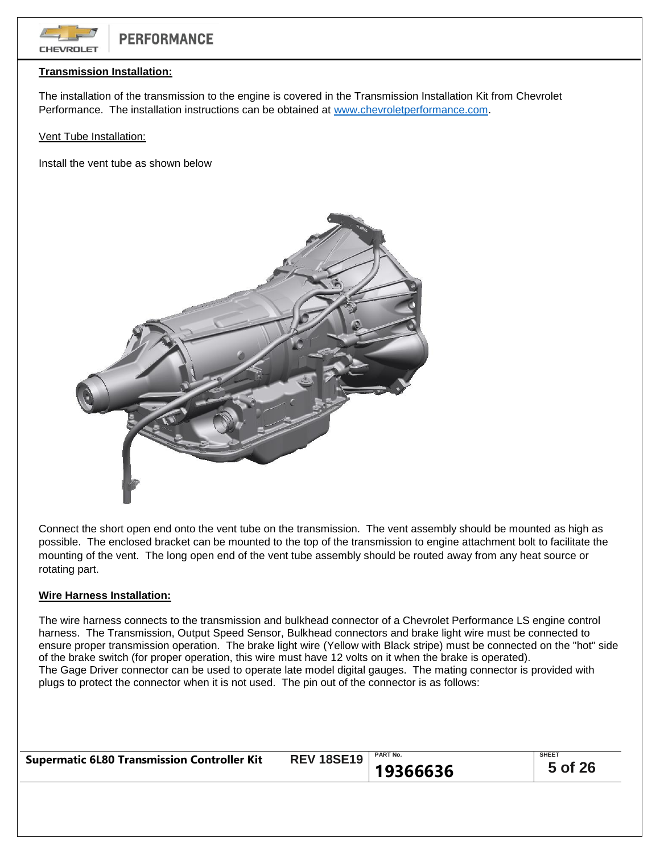

# **Transmission Installation:**

The installation of the transmission to the engine is covered in the Transmission Installation Kit from Chevrolet Performance. The installation instructions can be obtained at [www.chevroletperformance.com.](http://www.chevroletperformance.com/)

Vent Tube Installation:

Install the vent tube as shown below



Connect the short open end onto the vent tube on the transmission. The vent assembly should be mounted as high as possible. The enclosed bracket can be mounted to the top of the transmission to engine attachment bolt to facilitate the mounting of the vent. The long open end of the vent tube assembly should be routed away from any heat source or rotating part.

## **Wire Harness Installation:**

The wire harness connects to the transmission and bulkhead connector of a Chevrolet Performance LS engine control harness. The Transmission, Output Speed Sensor, Bulkhead connectors and brake light wire must be connected to ensure proper transmission operation. The brake light wire (Yellow with Black stripe) must be connected on the "hot" side of the brake switch (for proper operation, this wire must have 12 volts on it when the brake is operated). The Gage Driver connector can be used to operate late model digital gauges. The mating connector is provided with plugs to protect the connector when it is not used. The pin out of the connector is as follows:

| <b>Supermatic 6L80 Transmission Controller Kit</b> | <b>REV 18SE19</b> | <b>PART No.</b> | <b>SHEET</b> |
|----------------------------------------------------|-------------------|-----------------|--------------|
|                                                    |                   | 19366636        | 5 of 26      |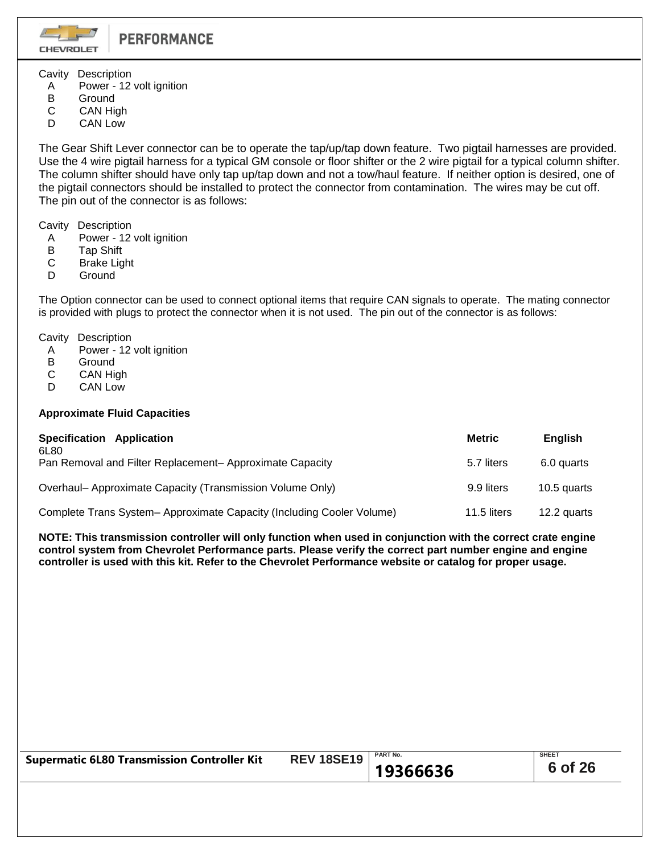**CHEVROLET** 

Cavity Description

- A Power 12 volt ignition
- B Ground
- C CAN High
- D CAN Low

The Gear Shift Lever connector can be to operate the tap/up/tap down feature. Two pigtail harnesses are provided. Use the 4 wire pigtail harness for a typical GM console or floor shifter or the 2 wire pigtail for a typical column shifter. The column shifter should have only tap up/tap down and not a tow/haul feature. If neither option is desired, one of the pigtail connectors should be installed to protect the connector from contamination. The wires may be cut off. The pin out of the connector is as follows:

Cavity Description

- A Power 12 volt ignition<br>B Tap Shift
- **Tap Shift**
- C Brake Light
- D Ground

The Option connector can be used to connect optional items that require CAN signals to operate. The mating connector is provided with plugs to protect the connector when it is not used. The pin out of the connector is as follows:

Cavity Description

- A Power 12 volt ignition<br>B Ground
- **Ground**
- C CAN High
- D CAN Low

# **Approximate Fluid Capacities**

| Specification Application<br>6L80                                    | <b>Metric</b> | <b>English</b> |
|----------------------------------------------------------------------|---------------|----------------|
| Pan Removal and Filter Replacement- Approximate Capacity             | 5.7 liters    | 6.0 quarts     |
| Overhaul- Approximate Capacity (Transmission Volume Only)            | 9.9 liters    | 10.5 quarts    |
| Complete Trans System-Approximate Capacity (Including Cooler Volume) | 11.5 liters   | 12.2 quarts    |

**NOTE: This transmission controller will only function when used in conjunction with the correct crate engine control system from Chevrolet Performance parts. Please verify the correct part number engine and engine controller is used with this kit. Refer to the Chevrolet Performance website or catalog for proper usage.**

| <b>Supermatic 6L80 Transmission Controller Kit</b> | <b>REV 18SE19</b>   PART No. |          | <b>SHEET</b> |
|----------------------------------------------------|------------------------------|----------|--------------|
|                                                    |                              | 19366636 | 6 of 26      |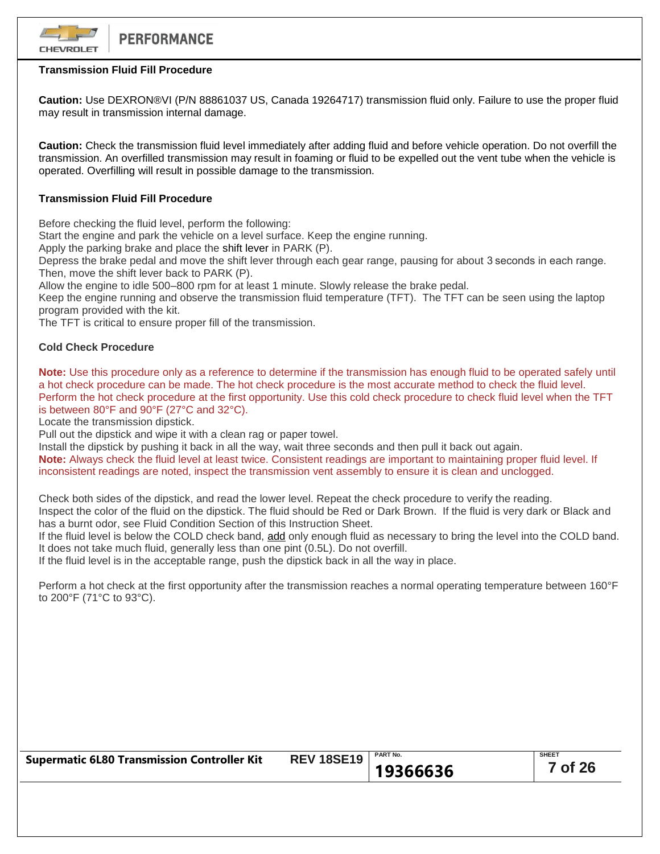

# **Transmission Fluid Fill Procedure**

**Caution:** Use DEXRON®VI (P/N 88861037 US, Canada 19264717) transmission fluid only. Failure to use the proper fluid may result in transmission internal damage.

**Caution:** Check the transmission fluid level immediately after adding fluid and before vehicle operation. Do not overfill the transmission. An overfilled transmission may result in foaming or fluid to be expelled out the vent tube when the vehicle is operated. Overfilling will result in possible damage to the transmission.

# **Transmission Fluid Fill Procedure**

Before checking the fluid level, perform the following:

Start the engine and park the vehicle on a level surface. Keep the engine running.

Apply the parking brake and place the shift lever in PARK (P).

Depress the brake pedal and move the shift lever through each gear range, pausing for about 3 seconds in each range. Then, move the shift lever back to PARK (P).

Allow the engine to idle 500–800 rpm for at least 1 minute. Slowly release the brake pedal.

Keep the engine running and observe the transmission fluid temperature (TFT). The TFT can be seen using the laptop program provided with the kit.

The TFT is critical to ensure proper fill of the transmission.

# **Cold Check Procedure**

**Note:** Use this procedure only as a reference to determine if the transmission has enough fluid to be operated safely until a hot check procedure can be made. The hot check procedure is the most accurate method to check the fluid level. Perform the hot check procedure at the first opportunity. Use this cold check procedure to check fluid level when the TFT is between 80°F and 90°F (27°C and 32°C).

Locate the transmission dipstick.

Pull out the dipstick and wipe it with a clean rag or paper towel.

Install the dipstick by pushing it back in all the way, wait three seconds and then pull it back out again. **Note:** Always check the fluid level at least twice. Consistent readings are important to maintaining proper fluid level. If inconsistent readings are noted, inspect the transmission vent assembly to ensure it is clean and unclogged.

Check both sides of the dipstick, and read the lower level. Repeat the check procedure to verify the reading.

Inspect the color of the fluid on the dipstick. The fluid should be Red or Dark Brown. If the fluid is very dark or Black and has a burnt odor, see Fluid Condition Section of this Instruction Sheet.

If the fluid level is below the COLD check band, add only enough fluid as necessary to bring the level into the COLD band. It does not take much fluid, generally less than one pint (0.5L). Do not overfill.

If the fluid level is in the acceptable range, push the dipstick back in all the way in place.

Perform a hot check at the first opportunity after the transmission reaches a normal operating temperature between 160°F to 200°F (71°C to 93°C).

| <b>Supermatic 6L80 Transmission Controller Kit</b> | <b>REV 18SE19</b>   PART No. |          | <b>SHEET</b> |
|----------------------------------------------------|------------------------------|----------|--------------|
|                                                    |                              | 19366636 | 7 of 26      |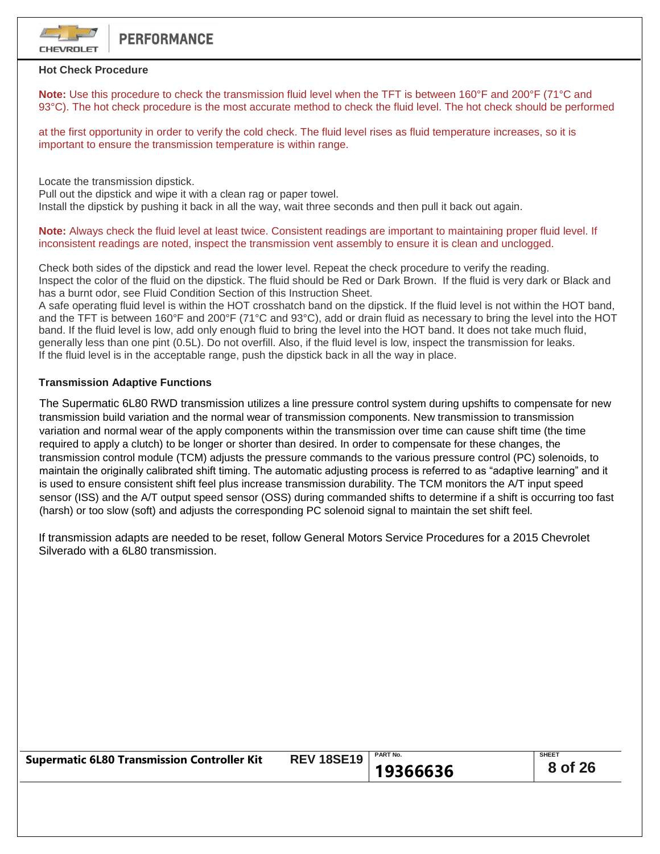

### **Hot Check Procedure**

**Note:** Use this procedure to check the transmission fluid level when the TFT is between 160°F and 200°F (71°C and 93°C). The hot check procedure is the most accurate method to check the fluid level. The hot check should be performed

at the first opportunity in order to verify the cold check. The fluid level rises as fluid temperature increases, so it is important to ensure the transmission temperature is within range.

Locate the transmission dipstick.

Pull out the dipstick and wipe it with a clean rag or paper towel.

Install the dipstick by pushing it back in all the way, wait three seconds and then pull it back out again.

**Note:** Always check the fluid level at least twice. Consistent readings are important to maintaining proper fluid level. If inconsistent readings are noted, inspect the transmission vent assembly to ensure it is clean and unclogged.

Check both sides of the dipstick and read the lower level. Repeat the check procedure to verify the reading. Inspect the color of the fluid on the dipstick. The fluid should be Red or Dark Brown. If the fluid is very dark or Black and has a burnt odor, see Fluid Condition Section of this Instruction Sheet.

A safe operating fluid level is within the HOT crosshatch band on the dipstick. If the fluid level is not within the HOT band, and the TFT is between 160°F and 200°F (71°C and 93°C), add or drain fluid as necessary to bring the level into the HOT band. If the fluid level is low, add only enough fluid to bring the level into the HOT band. It does not take much fluid, generally less than one pint (0.5L). Do not overfill. Also, if the fluid level is low, inspect the transmission for leaks. If the fluid level is in the acceptable range, push the dipstick back in all the way in place.

# **Transmission Adaptive Functions**

The Supermatic 6L80 RWD transmission utilizes a line pressure control system during upshifts to compensate for new transmission build variation and the normal wear of transmission components. New transmission to transmission variation and normal wear of the apply components within the transmission over time can cause shift time (the time required to apply a clutch) to be longer or shorter than desired. In order to compensate for these changes, the transmission control module (TCM) adjusts the pressure commands to the various pressure control (PC) solenoids, to maintain the originally calibrated shift timing. The automatic adjusting process is referred to as "adaptive learning" and it is used to ensure consistent shift feel plus increase transmission durability. The TCM monitors the A/T input speed sensor (ISS) and the A/T output speed sensor (OSS) during commanded shifts to determine if a shift is occurring too fast (harsh) or too slow (soft) and adjusts the corresponding PC solenoid signal to maintain the set shift feel.

If transmission adapts are needed to be reset, follow General Motors Service Procedures for a 2015 Chevrolet Silverado with a 6L80 transmission.

| <b>Supermatic 6L80 Transmission Controller Kit</b> | <b>REV 18SE19</b> PART No. |          | <b>SHEET</b> |
|----------------------------------------------------|----------------------------|----------|--------------|
|                                                    |                            | 19366636 | 8 of 26      |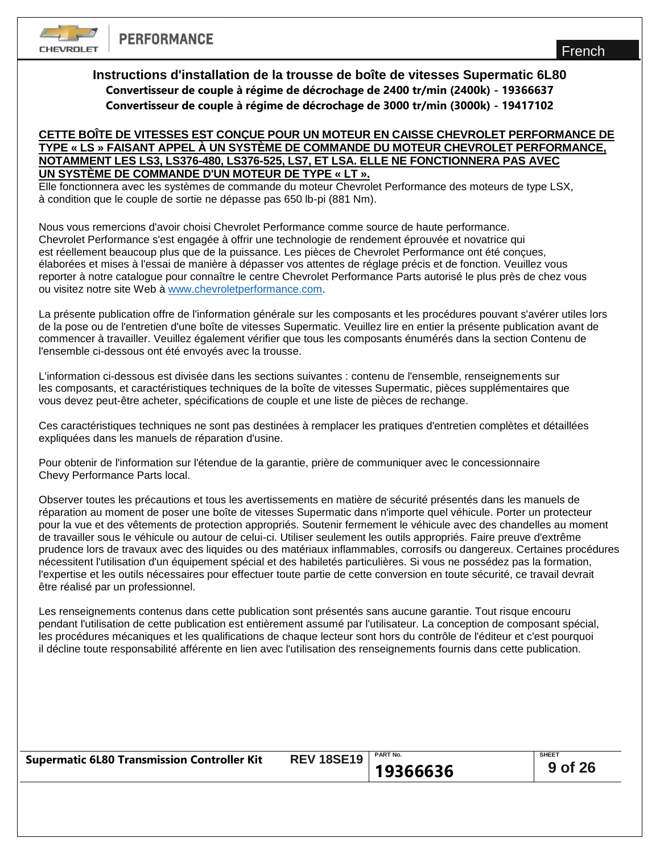**CHEVROLET** 

# **Instructions d'installation de la trousse de boîte de vitesses Supermatic 6L80 Convertisseur de couple à régime de décrochage de 2400 tr/min (2400k) - 19366637 Convertisseur de couple à régime de décrochage de 3000 tr/min (3000k) - 19417102**

# **CETTE BOÎTE DE VITESSES EST CONÇUE POUR UN MOTEUR EN CAISSE CHEVROLET PERFORMANCE DE TYPE « LS » FAISANT APPEL À UN SYSTÈME DE COMMANDE DU MOTEUR CHEVROLET PERFORMANCE, NOTAMMENT LES LS3, LS376-480, LS376-525, LS7, ET LSA. ELLE NE FONCTIONNERA PAS AVEC UN SYSTÈME DE COMMANDE D'UN MOTEUR DE TYPE « LT ».**

Elle fonctionnera avec les systèmes de commande du moteur Chevrolet Performance des moteurs de type LSX, à condition que le couple de sortie ne dépasse pas 650 lb-pi (881 Nm).

Nous vous remercions d'avoir choisi Chevrolet Performance comme source de haute performance. Chevrolet Performance s'est engagée à offrir une technologie de rendement éprouvée et novatrice qui est réellement beaucoup plus que de la puissance. Les pièces de Chevrolet Performance ont été conçues, élaborées et mises à l'essai de manière à dépasser vos attentes de réglage précis et de fonction. Veuillez vous reporter à notre catalogue pour connaître le centre Chevrolet Performance Parts autorisé le plus près de chez vous ou visitez notre site Web à [www.chevroletperformance.com.](http://www.chevroletperformance.com/)

La présente publication offre de l'information générale sur les composants et les procédures pouvant s'avérer utiles lors de la pose ou de l'entretien d'une boîte de vitesses Supermatic. Veuillez lire en entier la présente publication avant de commencer à travailler. Veuillez également vérifier que tous les composants énumérés dans la section Contenu de l'ensemble ci-dessous ont été envoyés avec la trousse.

L'information ci-dessous est divisée dans les sections suivantes : contenu de l'ensemble, renseignements sur les composants, et caractéristiques techniques de la boîte de vitesses Supermatic, pièces supplémentaires que vous devez peut-être acheter, spécifications de couple et une liste de pièces de rechange.

Ces caractéristiques techniques ne sont pas destinées à remplacer les pratiques d'entretien complètes et détaillées expliquées dans les manuels de réparation d'usine.

Pour obtenir de l'information sur l'étendue de la garantie, prière de communiquer avec le concessionnaire Chevy Performance Parts local.

Observer toutes les précautions et tous les avertissements en matière de sécurité présentés dans les manuels de réparation au moment de poser une boîte de vitesses Supermatic dans n'importe quel véhicule. Porter un protecteur pour la vue et des vêtements de protection appropriés. Soutenir fermement le véhicule avec des chandelles au moment de travailler sous le véhicule ou autour de celui-ci. Utiliser seulement les outils appropriés. Faire preuve d'extrême prudence lors de travaux avec des liquides ou des matériaux inflammables, corrosifs ou dangereux. Certaines procédures nécessitent l'utilisation d'un équipement spécial et des habiletés particulières. Si vous ne possédez pas la formation, l'expertise et les outils nécessaires pour effectuer toute partie de cette conversion en toute sécurité, ce travail devrait être réalisé par un professionnel.

Les renseignements contenus dans cette publication sont présentés sans aucune garantie. Tout risque encouru pendant l'utilisation de cette publication est entièrement assumé par l'utilisateur. La conception de composant spécial, les procédures mécaniques et les qualifications de chaque lecteur sont hors du contrôle de l'éditeur et c'est pourquoi il décline toute responsabilité afférente en lien avec l'utilisation des renseignements fournis dans cette publication.

| <b>Supermatic 6L80 Transmission Controller Kit</b> | <b>REV 18SE19</b> | <b>PART No.</b> | <b>SHEET</b> |
|----------------------------------------------------|-------------------|-----------------|--------------|
|                                                    |                   | 19366636        | 9 of 26      |
|                                                    |                   |                 |              |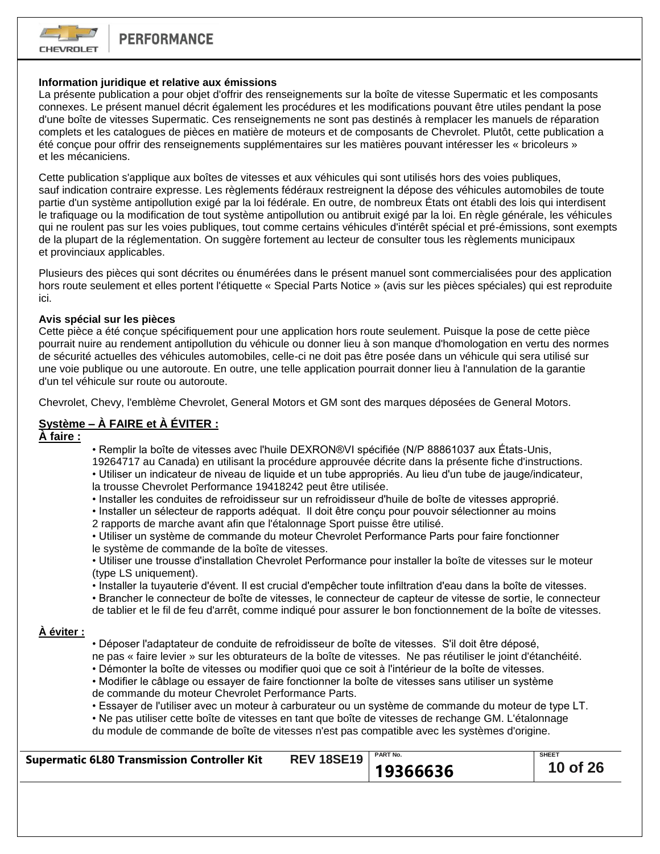

# **Information juridique et relative aux émissions**

La présente publication a pour objet d'offrir des renseignements sur la boîte de vitesse Supermatic et les composants connexes. Le présent manuel décrit également les procédures et les modifications pouvant être utiles pendant la pose d'une boîte de vitesses Supermatic. Ces renseignements ne sont pas destinés à remplacer les manuels de réparation complets et les catalogues de pièces en matière de moteurs et de composants de Chevrolet. Plutôt, cette publication a été conçue pour offrir des renseignements supplémentaires sur les matières pouvant intéresser les « bricoleurs » et les mécaniciens.

Cette publication s'applique aux boîtes de vitesses et aux véhicules qui sont utilisés hors des voies publiques, sauf indication contraire expresse. Les règlements fédéraux restreignent la dépose des véhicules automobiles de toute partie d'un système antipollution exigé par la loi fédérale. En outre, de nombreux États ont établi des lois qui interdisent le trafiquage ou la modification de tout système antipollution ou antibruit exigé par la loi. En règle générale, les véhicules qui ne roulent pas sur les voies publiques, tout comme certains véhicules d'intérêt spécial et pré-émissions, sont exempts de la plupart de la réglementation. On suggère fortement au lecteur de consulter tous les règlements municipaux et provinciaux applicables.

Plusieurs des pièces qui sont décrites ou énumérées dans le présent manuel sont commercialisées pour des application hors route seulement et elles portent l'étiquette « Special Parts Notice » (avis sur les pièces spéciales) qui est reproduite ici.

### **Avis spécial sur les pièces**

Cette pièce a été conçue spécifiquement pour une application hors route seulement. Puisque la pose de cette pièce pourrait nuire au rendement antipollution du véhicule ou donner lieu à son manque d'homologation en vertu des normes de sécurité actuelles des véhicules automobiles, celle-ci ne doit pas être posée dans un véhicule qui sera utilisé sur une voie publique ou une autoroute. En outre, une telle application pourrait donner lieu à l'annulation de la garantie d'un tel véhicule sur route ou autoroute.

Chevrolet, Chevy, l'emblème Chevrolet, General Motors et GM sont des marques déposées de General Motors.

# **Système – À FAIRE et À ÉVITER :**

**À faire :**

• Remplir la boîte de vitesses avec l'huile DEXRON®VI spécifiée (N/P 88861037 aux États-Unis,

19264717 au Canada) en utilisant la procédure approuvée décrite dans la présente fiche d'instructions.

• Utiliser un indicateur de niveau de liquide et un tube appropriés. Au lieu d'un tube de jauge/indicateur, la trousse Chevrolet Performance 19418242 peut être utilisée.

- Installer les conduites de refroidisseur sur un refroidisseur d'huile de boîte de vitesses approprié.
- Installer un sélecteur de rapports adéquat. Il doit être conçu pour pouvoir sélectionner au moins
- 2 rapports de marche avant afin que l'étalonnage Sport puisse être utilisé.

• Utiliser un système de commande du moteur Chevrolet Performance Parts pour faire fonctionner le système de commande de la boîte de vitesses.

• Utiliser une trousse d'installation Chevrolet Performance pour installer la boîte de vitesses sur le moteur (type LS uniquement).

• Installer la tuyauterie d'évent. Il est crucial d'empêcher toute infiltration d'eau dans la boîte de vitesses.

• Brancher le connecteur de boîte de vitesses, le connecteur de capteur de vitesse de sortie, le connecteur de tablier et le fil de feu d'arrêt, comme indiqué pour assurer le bon fonctionnement de la boîte de vitesses.

## **À éviter :**

- Déposer l'adaptateur de conduite de refroidisseur de boîte de vitesses. S'il doit être déposé, ne pas « faire levier » sur les obturateurs de la boîte de vitesses. Ne pas réutiliser le joint d'étanchéité.
- Démonter la boîte de vitesses ou modifier quoi que ce soit à l'intérieur de la boîte de vitesses.
- Modifier le câblage ou essayer de faire fonctionner la boîte de vitesses sans utiliser un système de commande du moteur Chevrolet Performance Parts.

• Essayer de l'utiliser avec un moteur à carburateur ou un système de commande du moteur de type LT.

• Ne pas utiliser cette boîte de vitesses en tant que boîte de vitesses de rechange GM. L'étalonnage du module de commande de boîte de vitesses n'est pas compatible avec les systèmes d'origine.

| <b>Supermatic 6L80 Transmission Controller Kit</b> | <b>REV 18SE19</b>   PART No. |          | <b>SHEET</b> |
|----------------------------------------------------|------------------------------|----------|--------------|
|                                                    |                              | 19366636 | 10 of 26     |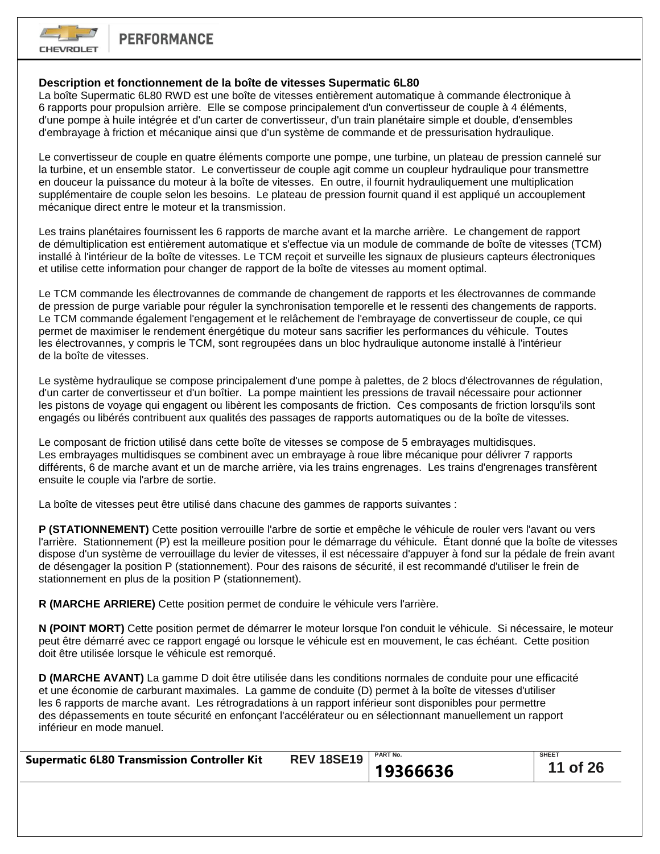

# **Description et fonctionnement de la boîte de vitesses Supermatic 6L80**

La boîte Supermatic 6L80 RWD est une boîte de vitesses entièrement automatique à commande électronique à 6 rapports pour propulsion arrière. Elle se compose principalement d'un convertisseur de couple à 4 éléments, d'une pompe à huile intégrée et d'un carter de convertisseur, d'un train planétaire simple et double, d'ensembles d'embrayage à friction et mécanique ainsi que d'un système de commande et de pressurisation hydraulique.

Le convertisseur de couple en quatre éléments comporte une pompe, une turbine, un plateau de pression cannelé sur la turbine, et un ensemble stator. Le convertisseur de couple agit comme un coupleur hydraulique pour transmettre en douceur la puissance du moteur à la boîte de vitesses. En outre, il fournit hydrauliquement une multiplication supplémentaire de couple selon les besoins. Le plateau de pression fournit quand il est appliqué un accouplement mécanique direct entre le moteur et la transmission.

Les trains planétaires fournissent les 6 rapports de marche avant et la marche arrière. Le changement de rapport de démultiplication est entièrement automatique et s'effectue via un module de commande de boîte de vitesses (TCM) installé à l'intérieur de la boîte de vitesses. Le TCM reçoit et surveille les signaux de plusieurs capteurs électroniques et utilise cette information pour changer de rapport de la boîte de vitesses au moment optimal.

Le TCM commande les électrovannes de commande de changement de rapports et les électrovannes de commande de pression de purge variable pour réguler la synchronisation temporelle et le ressenti des changements de rapports. Le TCM commande également l'engagement et le relâchement de l'embrayage de convertisseur de couple, ce qui permet de maximiser le rendement énergétique du moteur sans sacrifier les performances du véhicule. Toutes les électrovannes, y compris le TCM, sont regroupées dans un bloc hydraulique autonome installé à l'intérieur de la boîte de vitesses.

Le système hydraulique se compose principalement d'une pompe à palettes, de 2 blocs d'électrovannes de régulation, d'un carter de convertisseur et d'un boîtier. La pompe maintient les pressions de travail nécessaire pour actionner les pistons de voyage qui engagent ou libèrent les composants de friction. Ces composants de friction lorsqu'ils sont engagés ou libérés contribuent aux qualités des passages de rapports automatiques ou de la boîte de vitesses.

Le composant de friction utilisé dans cette boîte de vitesses se compose de 5 embrayages multidisques. Les embrayages multidisques se combinent avec un embrayage à roue libre mécanique pour délivrer 7 rapports différents, 6 de marche avant et un de marche arrière, via les trains engrenages. Les trains d'engrenages transfèrent ensuite le couple via l'arbre de sortie.

La boîte de vitesses peut être utilisé dans chacune des gammes de rapports suivantes :

**P (STATIONNEMENT)** Cette position verrouille l'arbre de sortie et empêche le véhicule de rouler vers l'avant ou vers l'arrière. Stationnement (P) est la meilleure position pour le démarrage du véhicule. Étant donné que la boîte de vitesses dispose d'un système de verrouillage du levier de vitesses, il est nécessaire d'appuyer à fond sur la pédale de frein avant de désengager la position P (stationnement). Pour des raisons de sécurité, il est recommandé d'utiliser le frein de stationnement en plus de la position P (stationnement).

**R (MARCHE ARRIERE)** Cette position permet de conduire le véhicule vers l'arrière.

**N (POINT MORT)** Cette position permet de démarrer le moteur lorsque l'on conduit le véhicule. Si nécessaire, le moteur peut être démarré avec ce rapport engagé ou lorsque le véhicule est en mouvement, le cas échéant. Cette position doit être utilisée lorsque le véhicule est remorqué.

**D (MARCHE AVANT)** La gamme D doit être utilisée dans les conditions normales de conduite pour une efficacité et une économie de carburant maximales. La gamme de conduite (D) permet à la boîte de vitesses d'utiliser les 6 rapports de marche avant. Les rétrogradations à un rapport inférieur sont disponibles pour permettre des dépassements en toute sécurité en enfonçant l'accélérateur ou en sélectionnant manuellement un rapport inférieur en mode manuel.

|                                                    | <b>REV 18SE19</b>   PART No. |          | <b>SHEET</b> |
|----------------------------------------------------|------------------------------|----------|--------------|
| <b>Supermatic 6L80 Transmission Controller Kit</b> |                              | 19366636 | 11 of 26     |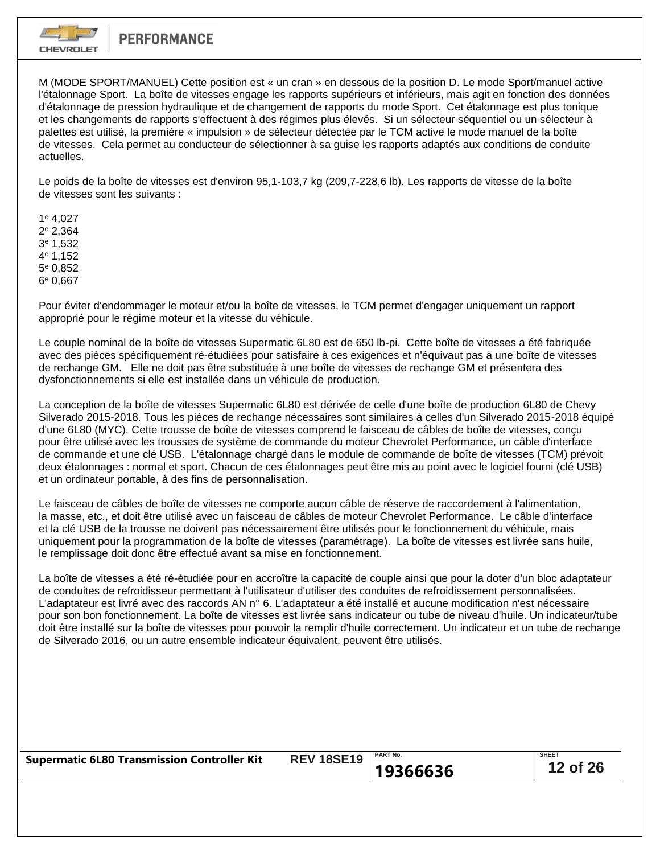

M (MODE SPORT/MANUEL) Cette position est « un cran » en dessous de la position D. Le mode Sport/manuel active l'étalonnage Sport. La boîte de vitesses engage les rapports supérieurs et inférieurs, mais agit en fonction des données d'étalonnage de pression hydraulique et de changement de rapports du mode Sport. Cet étalonnage est plus tonique et les changements de rapports s'effectuent à des régimes plus élevés. Si un sélecteur séquentiel ou un sélecteur à palettes est utilisé, la première « impulsion » de sélecteur détectée par le TCM active le mode manuel de la boîte de vitesses. Cela permet au conducteur de sélectionner à sa guise les rapports adaptés aux conditions de conduite actuelles.

Le poids de la boîte de vitesses est d'environ 95,1-103,7 kg (209,7-228,6 lb). Les rapports de vitesse de la boîte de vitesses sont les suivants :

1 <sup>e</sup> 4,027 2 <sup>e</sup> 2,364 3 <sup>e</sup> 1,532 4 <sup>e</sup> 1,152 5 <sup>e</sup> 0,852 6 <sup>e</sup> 0,667

Pour éviter d'endommager le moteur et/ou la boîte de vitesses, le TCM permet d'engager uniquement un rapport approprié pour le régime moteur et la vitesse du véhicule.

Le couple nominal de la boîte de vitesses Supermatic 6L80 est de 650 lb-pi. Cette boîte de vitesses a été fabriquée avec des pièces spécifiquement ré-étudiées pour satisfaire à ces exigences et n'équivaut pas à une boîte de vitesses de rechange GM. Elle ne doit pas être substituée à une boîte de vitesses de rechange GM et présentera des dysfonctionnements si elle est installée dans un véhicule de production.

La conception de la boîte de vitesses Supermatic 6L80 est dérivée de celle d'une boîte de production 6L80 de Chevy Silverado 2015-2018. Tous les pièces de rechange nécessaires sont similaires à celles d'un Silverado 2015-2018 équipé d'une 6L80 (MYC). Cette trousse de boîte de vitesses comprend le faisceau de câbles de boîte de vitesses, conçu pour être utilisé avec les trousses de système de commande du moteur Chevrolet Performance, un câble d'interface de commande et une clé USB. L'étalonnage chargé dans le module de commande de boîte de vitesses (TCM) prévoit deux étalonnages : normal et sport. Chacun de ces étalonnages peut être mis au point avec le logiciel fourni (clé USB) et un ordinateur portable, à des fins de personnalisation.

Le faisceau de câbles de boîte de vitesses ne comporte aucun câble de réserve de raccordement à l'alimentation, la masse, etc., et doit être utilisé avec un faisceau de câbles de moteur Chevrolet Performance. Le câble d'interface et la clé USB de la trousse ne doivent pas nécessairement être utilisés pour le fonctionnement du véhicule, mais uniquement pour la programmation de la boîte de vitesses (paramétrage). La boîte de vitesses est livrée sans huile, le remplissage doit donc être effectué avant sa mise en fonctionnement.

La boîte de vitesses a été ré-étudiée pour en accroître la capacité de couple ainsi que pour la doter d'un bloc adaptateur de conduites de refroidisseur permettant à l'utilisateur d'utiliser des conduites de refroidissement personnalisées. L'adaptateur est livré avec des raccords AN n° 6. L'adaptateur a été installé et aucune modification n'est nécessaire pour son bon fonctionnement. La boîte de vitesses est livrée sans indicateur ou tube de niveau d'huile. Un indicateur/tube doit être installé sur la boîte de vitesses pour pouvoir la remplir d'huile correctement. Un indicateur et un tube de rechange de Silverado 2016, ou un autre ensemble indicateur équivalent, peuvent être utilisés.

| <b>PART No.</b> | <b>SHEET</b>                  |
|-----------------|-------------------------------|
|                 | $\vert$ 12 of 26              |
|                 | <b>REV 18SE19</b><br>19366636 |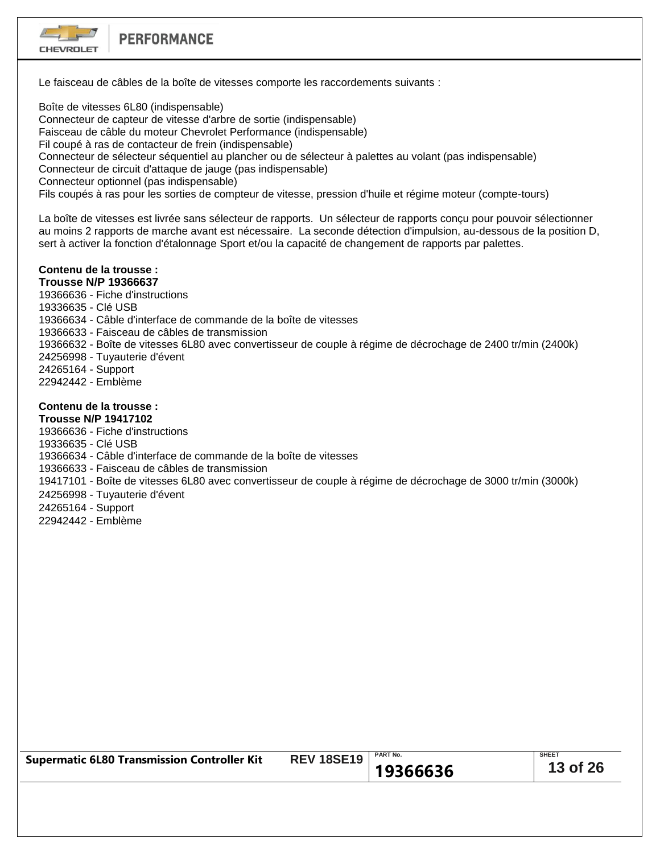

Le faisceau de câbles de la boîte de vitesses comporte les raccordements suivants :

Boîte de vitesses 6L80 (indispensable) Connecteur de capteur de vitesse d'arbre de sortie (indispensable) Faisceau de câble du moteur Chevrolet Performance (indispensable) Fil coupé à ras de contacteur de frein (indispensable) Connecteur de sélecteur séquentiel au plancher ou de sélecteur à palettes au volant (pas indispensable) Connecteur de circuit d'attaque de jauge (pas indispensable) Connecteur optionnel (pas indispensable) Fils coupés à ras pour les sorties de compteur de vitesse, pression d'huile et régime moteur (compte-tours)

La boîte de vitesses est livrée sans sélecteur de rapports. Un sélecteur de rapports conçu pour pouvoir sélectionner au moins 2 rapports de marche avant est nécessaire. La seconde détection d'impulsion, au-dessous de la position D, sert à activer la fonction d'étalonnage Sport et/ou la capacité de changement de rapports par palettes.

#### **Contenu de la trousse : Trousse N/P 19366637**

19366636 - Fiche d'instructions

19336635 - Clé USB

19366634 - Câble d'interface de commande de la boîte de vitesses

19366633 - Faisceau de câbles de transmission

19366632 - Boîte de vitesses 6L80 avec convertisseur de couple à régime de décrochage de 2400 tr/min (2400k)

24256998 - Tuyauterie d'évent

24265164 - Support

22942442 - Emblème

# **Contenu de la trousse :**

**Trousse N/P 19417102**

19366636 - Fiche d'instructions

19336635 - Clé USB

19366634 - Câble d'interface de commande de la boîte de vitesses

19366633 - Faisceau de câbles de transmission

19417101 - Boîte de vitesses 6L80 avec convertisseur de couple à régime de décrochage de 3000 tr/min (3000k)

24256998 - Tuyauterie d'évent

24265164 - Support

22942442 - Emblème

| <b>Supermatic 6L80 Transmission Controller Kit</b> | <b>REV 18SE19</b> | <b>PART No.</b> | <b>SHEET</b> |
|----------------------------------------------------|-------------------|-----------------|--------------|
|                                                    |                   | 19366636        | 13 of 26     |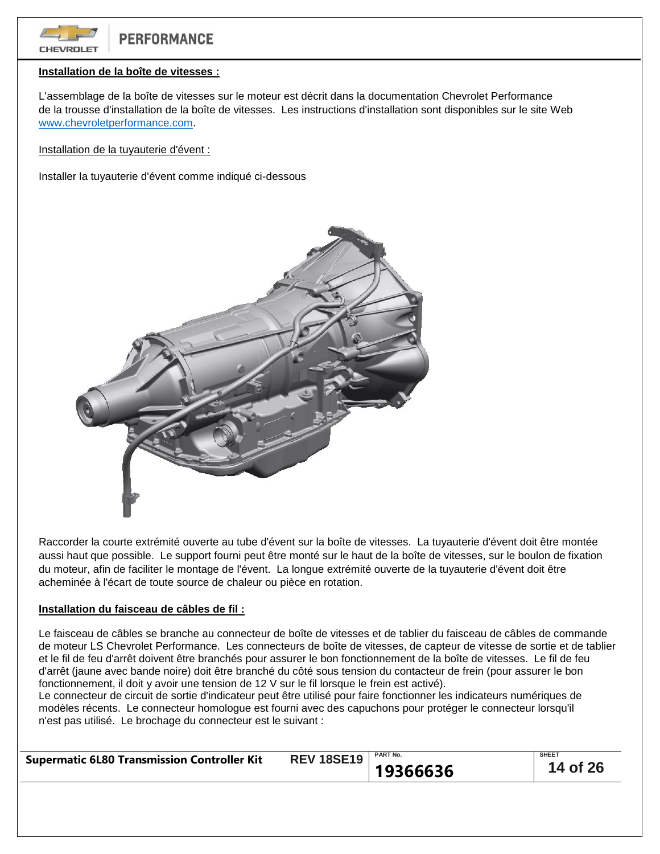

## **Installation de la boîte de vitesses :**

L'assemblage de la boîte de vitesses sur le moteur est décrit dans la documentation Chevrolet Performance de la trousse d'installation de la boîte de vitesses. Les instructions d'installation sont disponibles sur le site Web [www.chevroletperformance.com.](http://www.chevroletperformance.com/)

Installation de la tuyauterie d'évent :

Installer la tuyauterie d'évent comme indiqué ci-dessous



Raccorder la courte extrémité ouverte au tube d'évent sur la boîte de vitesses. La tuyauterie d'évent doit être montée aussi haut que possible. Le support fourni peut être monté sur le haut de la boîte de vitesses, sur le boulon de fixation du moteur, afin de faciliter le montage de l'évent. La longue extrémité ouverte de la tuyauterie d'évent doit être acheminée à l'écart de toute source de chaleur ou pièce en rotation.

#### **Installation du faisceau de câbles de fil :**

Le faisceau de câbles se branche au connecteur de boîte de vitesses et de tablier du faisceau de câbles de commande de moteur LS Chevrolet Performance. Les connecteurs de boîte de vitesses, de capteur de vitesse de sortie et de tablier et le fil de feu d'arrêt doivent être branchés pour assurer le bon fonctionnement de la boîte de vitesses. Le fil de feu d'arrêt (jaune avec bande noire) doit être branché du côté sous tension du contacteur de frein (pour assurer le bon fonctionnement, il doit y avoir une tension de 12 V sur le fil lorsque le frein est activé).

Le connecteur de circuit de sortie d'indicateur peut être utilisé pour faire fonctionner les indicateurs numériques de modèles récents. Le connecteur homologue est fourni avec des capuchons pour protéger le connecteur lorsqu'il n'est pas utilisé. Le brochage du connecteur est le suivant :

| <b>Supermatic 6L80 Transmission Controller Kit</b> | <b>REV 18SE19</b>   PART No. |          | <b>SHEET</b> |
|----------------------------------------------------|------------------------------|----------|--------------|
|                                                    |                              | 19366636 | 14 of 26     |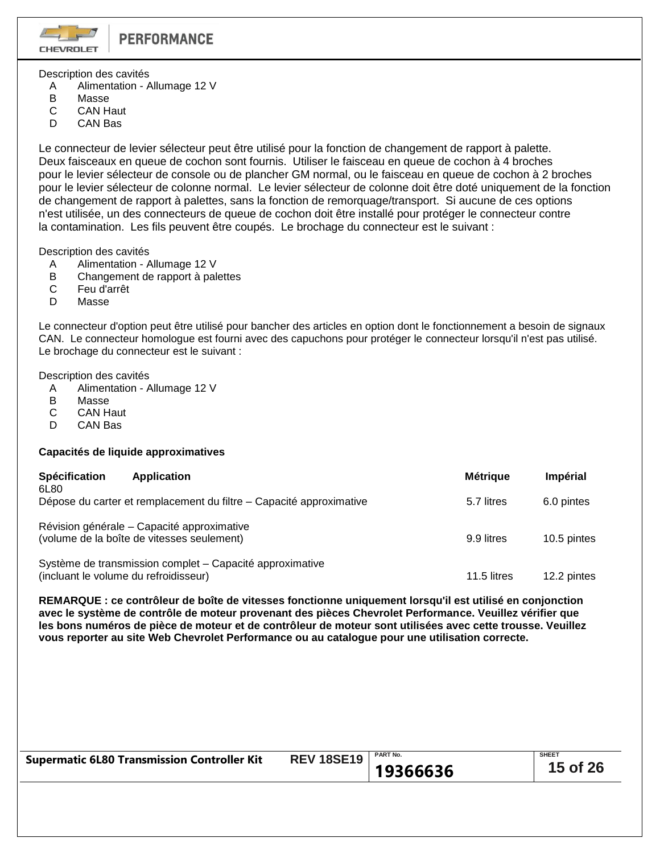**CHEVROLET** 

Description des cavités

- A Alimentation Allumage 12 V
- B Masse
- C CAN Haut
- D CAN Bas

Le connecteur de levier sélecteur peut être utilisé pour la fonction de changement de rapport à palette. Deux faisceaux en queue de cochon sont fournis. Utiliser le faisceau en queue de cochon à 4 broches pour le levier sélecteur de console ou de plancher GM normal, ou le faisceau en queue de cochon à 2 broches pour le levier sélecteur de colonne normal. Le levier sélecteur de colonne doit être doté uniquement de la fonction de changement de rapport à palettes, sans la fonction de remorquage/transport. Si aucune de ces options n'est utilisée, un des connecteurs de queue de cochon doit être installé pour protéger le connecteur contre la contamination. Les fils peuvent être coupés. Le brochage du connecteur est le suivant :

Description des cavités

- A Alimentation Allumage 12 V
- B Changement de rapport à palettes
- C Feu d'arrêt
- D Masse

Le connecteur d'option peut être utilisé pour bancher des articles en option dont le fonctionnement a besoin de signaux CAN. Le connecteur homologue est fourni avec des capuchons pour protéger le connecteur lorsqu'il n'est pas utilisé. Le brochage du connecteur est le suivant :

Description des cavités

- A Alimentation Allumage 12 V<br>B Masse
- Masse
- C CAN Haut
- D CAN Bas

# **Capacités de liquide approximatives**

| <b>Spécification</b><br>6L80          | <b>Application</b>                                                                       | <b>Métrique</b> | <b>Impérial</b> |
|---------------------------------------|------------------------------------------------------------------------------------------|-----------------|-----------------|
|                                       | Dépose du carter et remplacement du filtre – Capacité approximative                      | 5.7 litres      | 6.0 pintes      |
|                                       | Révision générale - Capacité approximative<br>(volume de la boîte de vitesses seulement) | 9.9 litres      | 10.5 pintes     |
| (incluant le volume du refroidisseur) | Système de transmission complet - Capacité approximative                                 | 11.5 litres     | 12.2 pintes     |

**REMARQUE : ce contrôleur de boîte de vitesses fonctionne uniquement lorsqu'il est utilisé en conjonction avec le système de contrôle de moteur provenant des pièces Chevrolet Performance. Veuillez vérifier que les bons numéros de pièce de moteur et de contrôleur de moteur sont utilisées avec cette trousse. Veuillez vous reporter au site Web Chevrolet Performance ou au catalogue pour une utilisation correcte.**

|                                                    | <b>REV 18SE19</b> | <b>PART No.</b> | <b>SHEET</b> |
|----------------------------------------------------|-------------------|-----------------|--------------|
| <b>Supermatic 6L80 Transmission Controller Kit</b> |                   |                 |              |
|                                                    |                   | 19366636        | 15 of 26     |
|                                                    |                   |                 |              |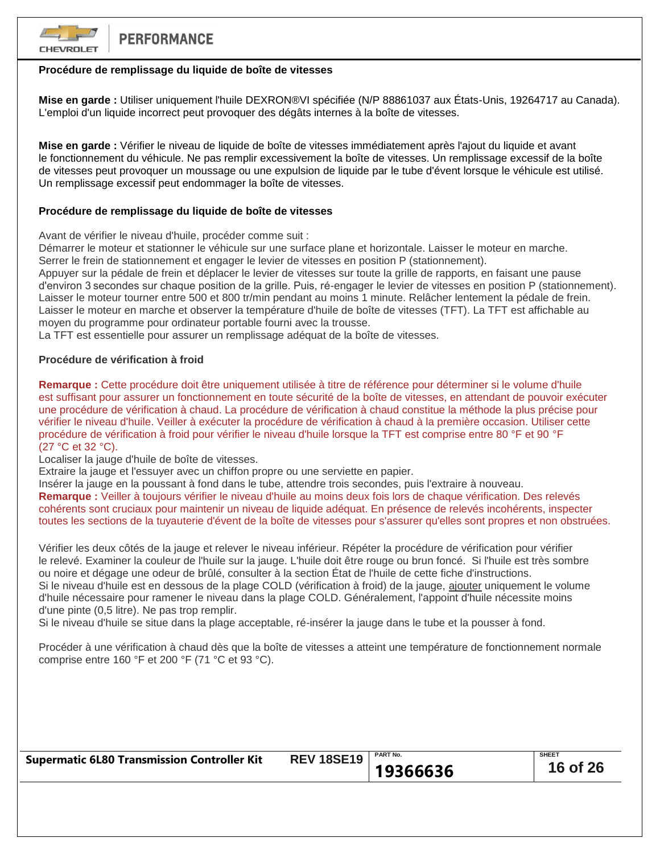

# **Procédure de remplissage du liquide de boîte de vitesses**

**Mise en garde :** Utiliser uniquement l'huile DEXRON®VI spécifiée (N/P 88861037 aux États-Unis, 19264717 au Canada). L'emploi d'un liquide incorrect peut provoquer des dégâts internes à la boîte de vitesses.

**Mise en garde :** Vérifier le niveau de liquide de boîte de vitesses immédiatement après l'ajout du liquide et avant le fonctionnement du véhicule. Ne pas remplir excessivement la boîte de vitesses. Un remplissage excessif de la boîte de vitesses peut provoquer un moussage ou une expulsion de liquide par le tube d'évent lorsque le véhicule est utilisé. Un remplissage excessif peut endommager la boîte de vitesses.

# **Procédure de remplissage du liquide de boîte de vitesses**

Avant de vérifier le niveau d'huile, procéder comme suit :

Démarrer le moteur et stationner le véhicule sur une surface plane et horizontale. Laisser le moteur en marche. Serrer le frein de stationnement et engager le levier de vitesses en position P (stationnement).

Appuyer sur la pédale de frein et déplacer le levier de vitesses sur toute la grille de rapports, en faisant une pause d'environ 3 secondes sur chaque position de la grille. Puis, ré-engager le levier de vitesses en position P (stationnement). Laisser le moteur tourner entre 500 et 800 tr/min pendant au moins 1 minute. Relâcher lentement la pédale de frein. Laisser le moteur en marche et observer la température d'huile de boîte de vitesses (TFT). La TFT est affichable au moyen du programme pour ordinateur portable fourni avec la trousse.

La TFT est essentielle pour assurer un remplissage adéquat de la boîte de vitesses.

## **Procédure de vérification à froid**

**Remarque :** Cette procédure doit être uniquement utilisée à titre de référence pour déterminer si le volume d'huile est suffisant pour assurer un fonctionnement en toute sécurité de la boîte de vitesses, en attendant de pouvoir exécuter une procédure de vérification à chaud. La procédure de vérification à chaud constitue la méthode la plus précise pour vérifier le niveau d'huile. Veiller à exécuter la procédure de vérification à chaud à la première occasion. Utiliser cette procédure de vérification à froid pour vérifier le niveau d'huile lorsque la TFT est comprise entre 80 °F et 90 °F (27 °C et 32 °C).

Localiser la jauge d'huile de boîte de vitesses.

Extraire la jauge et l'essuyer avec un chiffon propre ou une serviette en papier.

Insérer la jauge en la poussant à fond dans le tube, attendre trois secondes, puis l'extraire à nouveau. **Remarque :** Veiller à toujours vérifier le niveau d'huile au moins deux fois lors de chaque vérification. Des relevés cohérents sont cruciaux pour maintenir un niveau de liquide adéquat. En présence de relevés incohérents, inspecter toutes les sections de la tuyauterie d'évent de la boîte de vitesses pour s'assurer qu'elles sont propres et non obstruées.

Vérifier les deux côtés de la jauge et relever le niveau inférieur. Répéter la procédure de vérification pour vérifier le relevé. Examiner la couleur de l'huile sur la jauge. L'huile doit être rouge ou brun foncé. Si l'huile est très sombre ou noire et dégage une odeur de brûlé, consulter à la section État de l'huile de cette fiche d'instructions. Si le niveau d'huile est en dessous de la plage COLD (vérification à froid) de la jauge, ajouter uniquement le volume d'huile nécessaire pour ramener le niveau dans la plage COLD. Généralement, l'appoint d'huile nécessite moins d'une pinte (0,5 litre). Ne pas trop remplir.

Si le niveau d'huile se situe dans la plage acceptable, ré-insérer la jauge dans le tube et la pousser à fond.

Procéder à une vérification à chaud dès que la boîte de vitesses a atteint une température de fonctionnement normale comprise entre 160 °F et 200 °F (71 °C et 93 °C).

| <b>Supermatic 6L80 Transmission Controller Kit</b> | <b>REV 18SE19</b>   PART No. |          | <b>SHEET</b> |
|----------------------------------------------------|------------------------------|----------|--------------|
|                                                    |                              | 19366636 | 16 of 26     |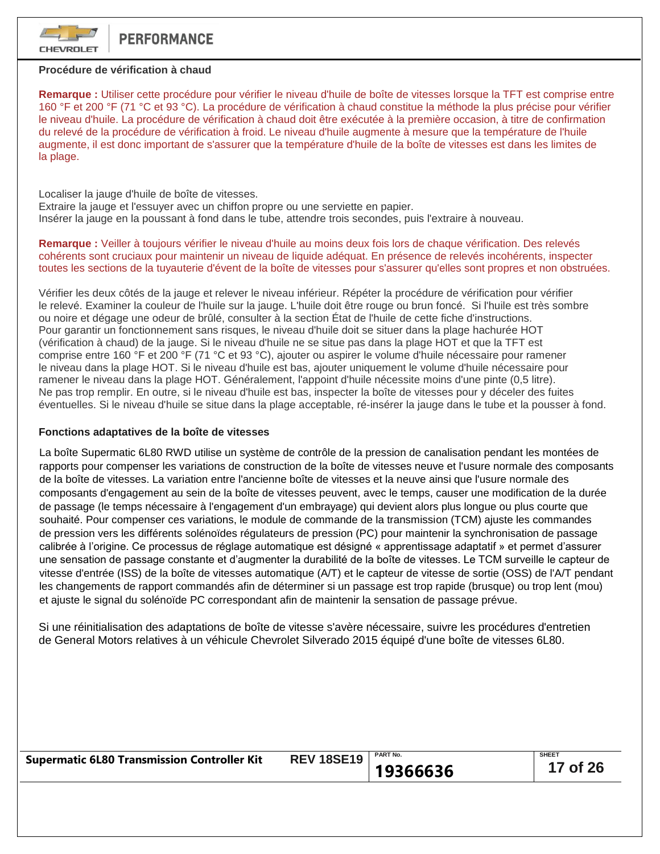

## **Procédure de vérification à chaud**

**Remarque :** Utiliser cette procédure pour vérifier le niveau d'huile de boîte de vitesses lorsque la TFT est comprise entre 160 °F et 200 °F (71 °C et 93 °C). La procédure de vérification à chaud constitue la méthode la plus précise pour vérifier le niveau d'huile. La procédure de vérification à chaud doit être exécutée à la première occasion, à titre de confirmation du relevé de la procédure de vérification à froid. Le niveau d'huile augmente à mesure que la température de l'huile augmente, il est donc important de s'assurer que la température d'huile de la boîte de vitesses est dans les limites de la plage.

Localiser la jauge d'huile de boîte de vitesses. Extraire la jauge et l'essuyer avec un chiffon propre ou une serviette en papier. Insérer la jauge en la poussant à fond dans le tube, attendre trois secondes, puis l'extraire à nouveau.

**Remarque :** Veiller à toujours vérifier le niveau d'huile au moins deux fois lors de chaque vérification. Des relevés cohérents sont cruciaux pour maintenir un niveau de liquide adéquat. En présence de relevés incohérents, inspecter toutes les sections de la tuyauterie d'évent de la boîte de vitesses pour s'assurer qu'elles sont propres et non obstruées.

Vérifier les deux côtés de la jauge et relever le niveau inférieur. Répéter la procédure de vérification pour vérifier le relevé. Examiner la couleur de l'huile sur la jauge. L'huile doit être rouge ou brun foncé. Si l'huile est très sombre ou noire et dégage une odeur de brûlé, consulter à la section État de l'huile de cette fiche d'instructions. Pour garantir un fonctionnement sans risques, le niveau d'huile doit se situer dans la plage hachurée HOT (vérification à chaud) de la jauge. Si le niveau d'huile ne se situe pas dans la plage HOT et que la TFT est comprise entre 160 °F et 200 °F (71 °C et 93 °C), ajouter ou aspirer le volume d'huile nécessaire pour ramener le niveau dans la plage HOT. Si le niveau d'huile est bas, ajouter uniquement le volume d'huile nécessaire pour ramener le niveau dans la plage HOT. Généralement, l'appoint d'huile nécessite moins d'une pinte (0,5 litre). Ne pas trop remplir. En outre, si le niveau d'huile est bas, inspecter la boîte de vitesses pour y déceler des fuites éventuelles. Si le niveau d'huile se situe dans la plage acceptable, ré-insérer la jauge dans le tube et la pousser à fond.

### **Fonctions adaptatives de la boîte de vitesses**

La boîte Supermatic 6L80 RWD utilise un système de contrôle de la pression de canalisation pendant les montées de rapports pour compenser les variations de construction de la boîte de vitesses neuve et l'usure normale des composants de la boîte de vitesses. La variation entre l'ancienne boîte de vitesses et la neuve ainsi que l'usure normale des composants d'engagement au sein de la boîte de vitesses peuvent, avec le temps, causer une modification de la durée de passage (le temps nécessaire à l'engagement d'un embrayage) qui devient alors plus longue ou plus courte que souhaité. Pour compenser ces variations, le module de commande de la transmission (TCM) ajuste les commandes de pression vers les différents solénoïdes régulateurs de pression (PC) pour maintenir la synchronisation de passage calibrée à l'origine. Ce processus de réglage automatique est désigné « apprentissage adaptatif » et permet d'assurer une sensation de passage constante et d'augmenter la durabilité de la boîte de vitesses. Le TCM surveille le capteur de vitesse d'entrée (ISS) de la boîte de vitesses automatique (A/T) et le capteur de vitesse de sortie (OSS) de l'A/T pendant les changements de rapport commandés afin de déterminer si un passage est trop rapide (brusque) ou trop lent (mou) et ajuste le signal du solénoïde PC correspondant afin de maintenir la sensation de passage prévue.

Si une réinitialisation des adaptations de boîte de vitesse s'avère nécessaire, suivre les procédures d'entretien de General Motors relatives à un véhicule Chevrolet Silverado 2015 équipé d'une boîte de vitesses 6L80.

| <b>Supermatic 6L80 Transmission Controller Kit</b> | <b>REV 18SE19</b> | <b>PART No.</b> | <b>SHEET</b>     |
|----------------------------------------------------|-------------------|-----------------|------------------|
|                                                    |                   | 19366636        | $\vert$ 17 of 26 |
|                                                    |                   |                 |                  |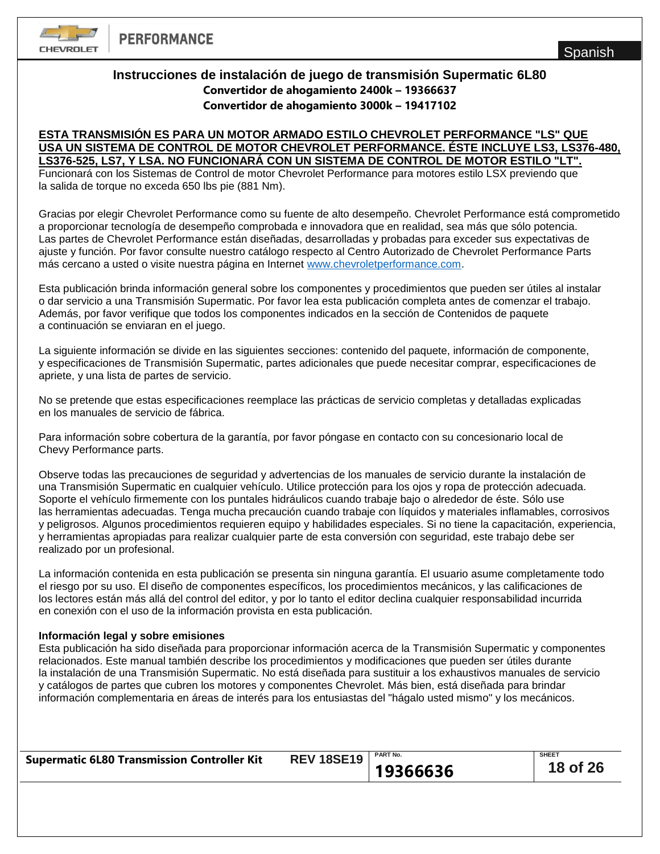

# **Instrucciones de instalación de juego de transmisión Supermatic 6L80 Convertidor de ahogamiento 2400k – 19366637 Convertidor de ahogamiento 3000k – 19417102**

## **ESTA TRANSMISIÓN ES PARA UN MOTOR ARMADO ESTILO CHEVROLET PERFORMANCE "LS" QUE USA UN SISTEMA DE CONTROL DE MOTOR CHEVROLET PERFORMANCE. ÉSTE INCLUYE LS3, LS376-480, LS376-525, LS7, Y LSA. NO FUNCIONARÁ CON UN SISTEMA DE CONTROL DE MOTOR ESTILO "LT".**

Funcionará con los Sistemas de Control de motor Chevrolet Performance para motores estilo LSX previendo que la salida de torque no exceda 650 lbs pie (881 Nm).

Gracias por elegir Chevrolet Performance como su fuente de alto desempeño. Chevrolet Performance está comprometido a proporcionar tecnología de desempeño comprobada e innovadora que en realidad, sea más que sólo potencia. Las partes de Chevrolet Performance están diseñadas, desarrolladas y probadas para exceder sus expectativas de ajuste y función. Por favor consulte nuestro catálogo respecto al Centro Autorizado de Chevrolet Performance Parts más cercano a usted o visite nuestra página en Internet [www.chevroletperformance.com.](http://www.chevroletperformance.com/)

Esta publicación brinda información general sobre los componentes y procedimientos que pueden ser útiles al instalar o dar servicio a una Transmisión Supermatic. Por favor lea esta publicación completa antes de comenzar el trabajo. Además, por favor verifique que todos los componentes indicados en la sección de Contenidos de paquete a continuación se enviaran en el juego.

La siguiente información se divide en las siguientes secciones: contenido del paquete, información de componente, y especificaciones de Transmisión Supermatic, partes adicionales que puede necesitar comprar, especificaciones de apriete, y una lista de partes de servicio.

No se pretende que estas especificaciones reemplace las prácticas de servicio completas y detalladas explicadas en los manuales de servicio de fábrica.

Para información sobre cobertura de la garantía, por favor póngase en contacto con su concesionario local de Chevy Performance parts.

Observe todas las precauciones de seguridad y advertencias de los manuales de servicio durante la instalación de una Transmisión Supermatic en cualquier vehículo. Utilice protección para los ojos y ropa de protección adecuada. Soporte el vehículo firmemente con los puntales hidráulicos cuando trabaje bajo o alrededor de éste. Sólo use las herramientas adecuadas. Tenga mucha precaución cuando trabaje con líquidos y materiales inflamables, corrosivos y peligrosos. Algunos procedimientos requieren equipo y habilidades especiales. Si no tiene la capacitación, experiencia, y herramientas apropiadas para realizar cualquier parte de esta conversión con seguridad, este trabajo debe ser realizado por un profesional.

La información contenida en esta publicación se presenta sin ninguna garantía. El usuario asume completamente todo el riesgo por su uso. El diseño de componentes específicos, los procedimientos mecánicos, y las calificaciones de los lectores están más allá del control del editor, y por lo tanto el editor declina cualquier responsabilidad incurrida en conexión con el uso de la información provista en esta publicación.

## **Información legal y sobre emisiones**

Esta publicación ha sido diseñada para proporcionar información acerca de la Transmisión Supermatic y componentes relacionados. Este manual también describe los procedimientos y modificaciones que pueden ser útiles durante la instalación de una Transmisión Supermatic. No está diseñada para sustituir a los exhaustivos manuales de servicio y catálogos de partes que cubren los motores y componentes Chevrolet. Más bien, está diseñada para brindar información complementaria en áreas de interés para los entusiastas del "hágalo usted mismo" y los mecánicos.

| <b>Supermatic 6L80 Transmission Controller Kit</b> | <b>REV 18SE19</b> | <b>PART No.</b> | <b>SHEET</b> |
|----------------------------------------------------|-------------------|-----------------|--------------|
|                                                    |                   | 19366636        | 18 of 26     |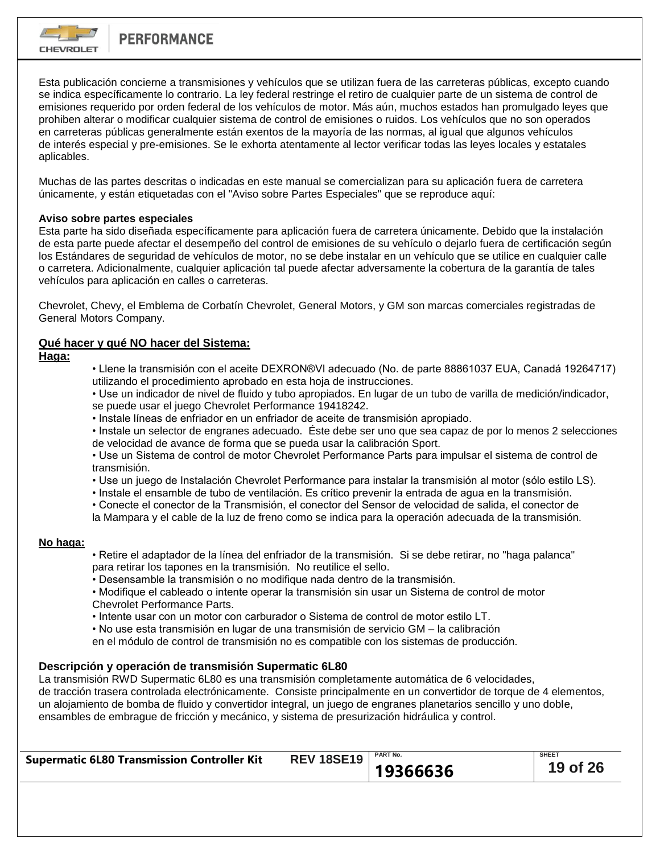

Esta publicación concierne a transmisiones y vehículos que se utilizan fuera de las carreteras públicas, excepto cuando se indica específicamente lo contrario. La ley federal restringe el retiro de cualquier parte de un sistema de control de emisiones requerido por orden federal de los vehículos de motor. Más aún, muchos estados han promulgado leyes que prohiben alterar o modificar cualquier sistema de control de emisiones o ruidos. Los vehículos que no son operados en carreteras públicas generalmente están exentos de la mayoría de las normas, al igual que algunos vehículos de interés especial y pre-emisiones. Se le exhorta atentamente al lector verificar todas las leyes locales y estatales aplicables.

Muchas de las partes descritas o indicadas en este manual se comercializan para su aplicación fuera de carretera únicamente, y están etiquetadas con el "Aviso sobre Partes Especiales" que se reproduce aquí:

# **Aviso sobre partes especiales**

Esta parte ha sido diseñada específicamente para aplicación fuera de carretera únicamente. Debido que la instalación de esta parte puede afectar el desempeño del control de emisiones de su vehículo o dejarlo fuera de certificación según los Estándares de seguridad de vehículos de motor, no se debe instalar en un vehículo que se utilice en cualquier calle o carretera. Adicionalmente, cualquier aplicación tal puede afectar adversamente la cobertura de la garantía de tales vehículos para aplicación en calles o carreteras.

Chevrolet, Chevy, el Emblema de Corbatín Chevrolet, General Motors, y GM son marcas comerciales registradas de General Motors Company.

# **Qué hacer y qué NO hacer del Sistema:**

**Haga:**

• Llene la transmisión con el aceite DEXRON®VI adecuado (No. de parte 88861037 EUA, Canadá 19264717) utilizando el procedimiento aprobado en esta hoja de instrucciones.

• Use un indicador de nivel de fluido y tubo apropiados. En lugar de un tubo de varilla de medición/indicador, se puede usar el juego Chevrolet Performance 19418242.

• Instale líneas de enfriador en un enfriador de aceite de transmisión apropiado.

• Instale un selector de engranes adecuado. Éste debe ser uno que sea capaz de por lo menos 2 selecciones de velocidad de avance de forma que se pueda usar la calibración Sport.

• Use un Sistema de control de motor Chevrolet Performance Parts para impulsar el sistema de control de transmisión.

• Use un juego de Instalación Chevrolet Performance para instalar la transmisión al motor (sólo estilo LS).

• Instale el ensamble de tubo de ventilación. Es crítico prevenir la entrada de agua en la transmisión.

• Conecte el conector de la Transmisión, el conector del Sensor de velocidad de salida, el conector de la Mampara y el cable de la luz de freno como se indica para la operación adecuada de la transmisión.

## **No haga:**

- Retire el adaptador de la línea del enfriador de la transmisión. Si se debe retirar, no "haga palanca" para retirar los tapones en la transmisión. No reutilice el sello.
- Desensamble la transmisión o no modifique nada dentro de la transmisión.

• Modifique el cableado o intente operar la transmisión sin usar un Sistema de control de motor Chevrolet Performance Parts.

• Intente usar con un motor con carburador o Sistema de control de motor estilo LT.

• No use esta transmisión en lugar de una transmisión de servicio GM – la calibración

en el módulo de control de transmisión no es compatible con los sistemas de producción.

# **Descripción y operación de transmisión Supermatic 6L80**

La transmisión RWD Supermatic 6L80 es una transmisión completamente automática de 6 velocidades, de tracción trasera controlada electrónicamente. Consiste principalmente en un convertidor de torque de 4 elementos, un alojamiento de bomba de fluido y convertidor integral, un juego de engranes planetarios sencillo y uno doble, ensambles de embrague de fricción y mecánico, y sistema de presurización hidráulica y control.

|                                                    | <b>REV 18SE19</b>   PART No. |          | <b>SHEET</b> |
|----------------------------------------------------|------------------------------|----------|--------------|
| <b>Supermatic 6L80 Transmission Controller Kit</b> |                              |          |              |
|                                                    |                              | 19366636 | 19 of 26     |
|                                                    |                              |          |              |
|                                                    |                              |          |              |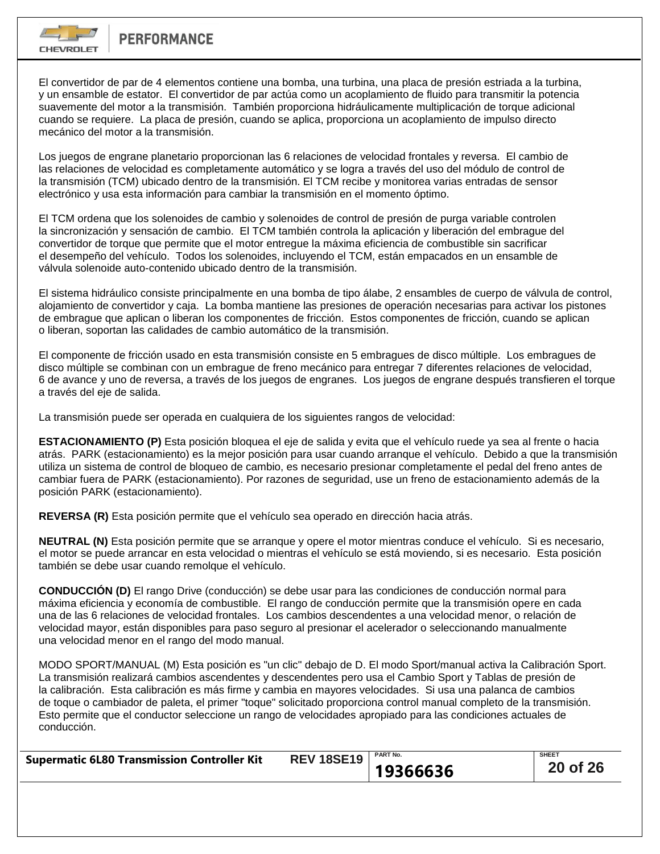

El convertidor de par de 4 elementos contiene una bomba, una turbina, una placa de presión estriada a la turbina, y un ensamble de estator. El convertidor de par actúa como un acoplamiento de fluido para transmitir la potencia suavemente del motor a la transmisión. También proporciona hidráulicamente multiplicación de torque adicional cuando se requiere. La placa de presión, cuando se aplica, proporciona un acoplamiento de impulso directo mecánico del motor a la transmisión.

Los juegos de engrane planetario proporcionan las 6 relaciones de velocidad frontales y reversa. El cambio de las relaciones de velocidad es completamente automático y se logra a través del uso del módulo de control de la transmisión (TCM) ubicado dentro de la transmisión. El TCM recibe y monitorea varias entradas de sensor electrónico y usa esta información para cambiar la transmisión en el momento óptimo.

El TCM ordena que los solenoides de cambio y solenoides de control de presión de purga variable controlen la sincronización y sensación de cambio. El TCM también controla la aplicación y liberación del embrague del convertidor de torque que permite que el motor entregue la máxima eficiencia de combustible sin sacrificar el desempeño del vehículo. Todos los solenoides, incluyendo el TCM, están empacados en un ensamble de válvula solenoide auto-contenido ubicado dentro de la transmisión.

El sistema hidráulico consiste principalmente en una bomba de tipo álabe, 2 ensambles de cuerpo de válvula de control, alojamiento de convertidor y caja. La bomba mantiene las presiones de operación necesarias para activar los pistones de embrague que aplican o liberan los componentes de fricción. Estos componentes de fricción, cuando se aplican o liberan, soportan las calidades de cambio automático de la transmisión.

El componente de fricción usado en esta transmisión consiste en 5 embragues de disco múltiple. Los embragues de disco múltiple se combinan con un embrague de freno mecánico para entregar 7 diferentes relaciones de velocidad, 6 de avance y uno de reversa, a través de los juegos de engranes. Los juegos de engrane después transfieren el torque a través del eje de salida.

La transmisión puede ser operada en cualquiera de los siguientes rangos de velocidad:

**ESTACIONAMIENTO (P)** Esta posición bloquea el eje de salida y evita que el vehículo ruede ya sea al frente o hacia atrás. PARK (estacionamiento) es la mejor posición para usar cuando arranque el vehículo. Debido a que la transmisión utiliza un sistema de control de bloqueo de cambio, es necesario presionar completamente el pedal del freno antes de cambiar fuera de PARK (estacionamiento). Por razones de seguridad, use un freno de estacionamiento además de la posición PARK (estacionamiento).

**REVERSA (R)** Esta posición permite que el vehículo sea operado en dirección hacia atrás.

**NEUTRAL (N)** Esta posición permite que se arranque y opere el motor mientras conduce el vehículo. Si es necesario, el motor se puede arrancar en esta velocidad o mientras el vehículo se está moviendo, si es necesario. Esta posición también se debe usar cuando remolque el vehículo.

**CONDUCCIÓN (D)** El rango Drive (conducción) se debe usar para las condiciones de conducción normal para máxima eficiencia y economía de combustible. El rango de conducción permite que la transmisión opere en cada una de las 6 relaciones de velocidad frontales. Los cambios descendentes a una velocidad menor, o relación de velocidad mayor, están disponibles para paso seguro al presionar el acelerador o seleccionando manualmente una velocidad menor en el rango del modo manual.

MODO SPORT/MANUAL (M) Esta posición es "un clic" debajo de D. El modo Sport/manual activa la Calibración Sport. La transmisión realizará cambios ascendentes y descendentes pero usa el Cambio Sport y Tablas de presión de la calibración. Esta calibración es más firme y cambia en mayores velocidades. Si usa una palanca de cambios de toque o cambiador de paleta, el primer "toque" solicitado proporciona control manual completo de la transmisión. Esto permite que el conductor seleccione un rango de velocidades apropiado para las condiciones actuales de conducción.

| <b>Supermatic 6L80 Transmission Controller Kit</b> | <b>REV 18SE19</b>   PART No. |          | <b>SHEET</b> |
|----------------------------------------------------|------------------------------|----------|--------------|
|                                                    |                              | 19366636 | 20 of 26     |
|                                                    |                              |          |              |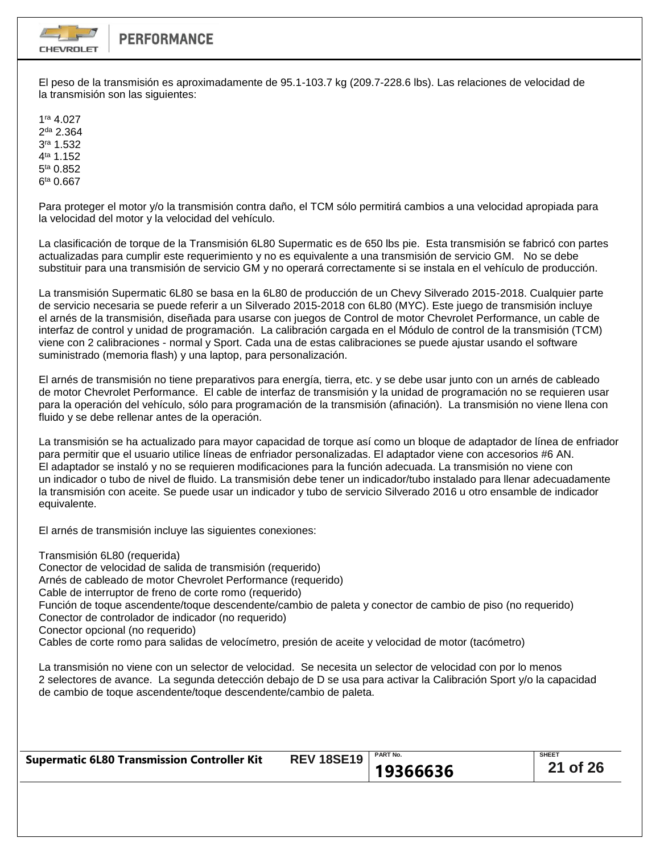

El peso de la transmisión es aproximadamente de 95.1-103.7 kg (209.7-228.6 lbs). Las relaciones de velocidad de la transmisión son las siguientes:

1 ra 4.027 2<sup>da</sup> 2.364 3 ra 1.532 4<sup>ta</sup> 1.152 5<sup>ta</sup> 0.852 6<sup>ta</sup> 0.667

Para proteger el motor y/o la transmisión contra daño, el TCM sólo permitirá cambios a una velocidad apropiada para la velocidad del motor y la velocidad del vehículo.

La clasificación de torque de la Transmisión 6L80 Supermatic es de 650 lbs pie. Esta transmisión se fabricó con partes actualizadas para cumplir este requerimiento y no es equivalente a una transmisión de servicio GM. No se debe substituir para una transmisión de servicio GM y no operará correctamente si se instala en el vehículo de producción.

La transmisión Supermatic 6L80 se basa en la 6L80 de producción de un Chevy Silverado 2015-2018. Cualquier parte de servicio necesaria se puede referir a un Silverado 2015-2018 con 6L80 (MYC). Este juego de transmisión incluye el arnés de la transmisión, diseñada para usarse con juegos de Control de motor Chevrolet Performance, un cable de interfaz de control y unidad de programación. La calibración cargada en el Módulo de control de la transmisión (TCM) viene con 2 calibraciones - normal y Sport. Cada una de estas calibraciones se puede ajustar usando el software suministrado (memoria flash) y una laptop, para personalización.

El arnés de transmisión no tiene preparativos para energía, tierra, etc. y se debe usar junto con un arnés de cableado de motor Chevrolet Performance. El cable de interfaz de transmisión y la unidad de programación no se requieren usar para la operación del vehículo, sólo para programación de la transmisión (afinación). La transmisión no viene llena con fluido y se debe rellenar antes de la operación.

La transmisión se ha actualizado para mayor capacidad de torque así como un bloque de adaptador de línea de enfriador para permitir que el usuario utilice líneas de enfriador personalizadas. El adaptador viene con accesorios #6 AN. El adaptador se instaló y no se requieren modificaciones para la función adecuada. La transmisión no viene con un indicador o tubo de nivel de fluido. La transmisión debe tener un indicador/tubo instalado para llenar adecuadamente la transmisión con aceite. Se puede usar un indicador y tubo de servicio Silverado 2016 u otro ensamble de indicador equivalente.

El arnés de transmisión incluye las siguientes conexiones:

Transmisión 6L80 (requerida) Conector de velocidad de salida de transmisión (requerido) Arnés de cableado de motor Chevrolet Performance (requerido) Cable de interruptor de freno de corte romo (requerido) Función de toque ascendente/toque descendente/cambio de paleta y conector de cambio de piso (no requerido) Conector de controlador de indicador (no requerido) Conector opcional (no requerido) Cables de corte romo para salidas de velocímetro, presión de aceite y velocidad de motor (tacómetro)

La transmisión no viene con un selector de velocidad. Se necesita un selector de velocidad con por lo menos 2 selectores de avance. La segunda detección debajo de D se usa para activar la Calibración Sport y/o la capacidad de cambio de toque ascendente/toque descendente/cambio de paleta.

| <b>Supermatic 6L80 Transmission Controller Kit</b> | <b>REV 18SE19</b> | <b>PART No.</b> | <b>SHEET</b> |
|----------------------------------------------------|-------------------|-----------------|--------------|
|                                                    |                   | 19366636        | 21 of 26     |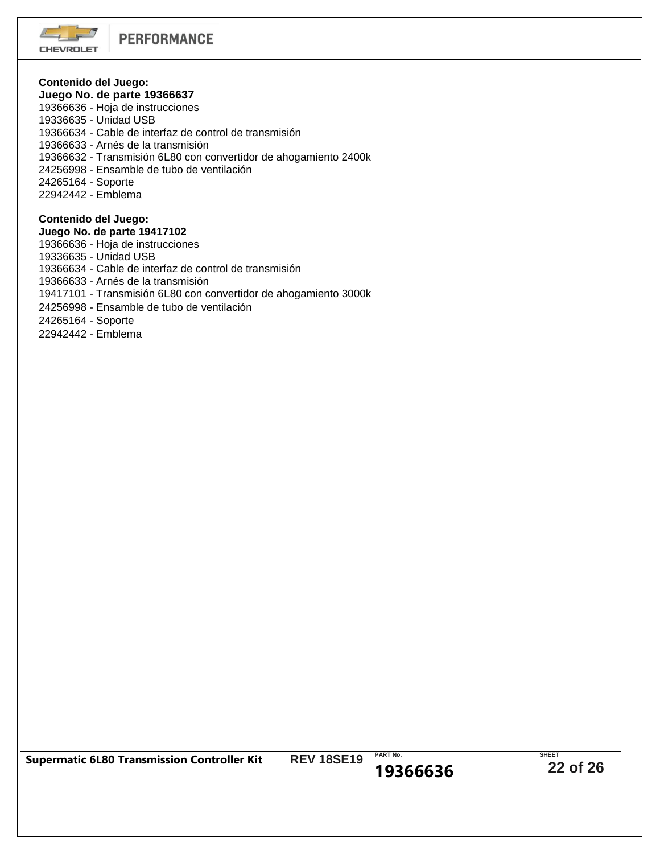### **Contenido del Juego: Juego No. de parte 19366637**

19366636 - Hoja de instrucciones

- 19336635 Unidad USB
- 19366634 Cable de interfaz de control de transmisión
- 19366633 Arnés de la transmisión
- 19366632 Transmisión 6L80 con convertidor de ahogamiento 2400k
- 24256998 Ensamble de tubo de ventilación
- 24265164 Soporte
- 22942442 Emblema

# **Contenido del Juego:**

**Juego No. de parte 19417102**

- 19366636 Hoja de instrucciones
- 19336635 Unidad USB
- 19366634 Cable de interfaz de control de transmisión
- 19366633 Arnés de la transmisión
- 19417101 Transmisión 6L80 con convertidor de ahogamiento 3000k
- 24256998 Ensamble de tubo de ventilación
- 24265164 Soporte
- 22942442 Emblema

| <b>REV 18SE19</b>   PART No.<br><b>Supermatic 6L80 Transmission Controller Kit</b> | <b>SHEET</b><br>22 of 26<br>19366636 |
|------------------------------------------------------------------------------------|--------------------------------------|
|------------------------------------------------------------------------------------|--------------------------------------|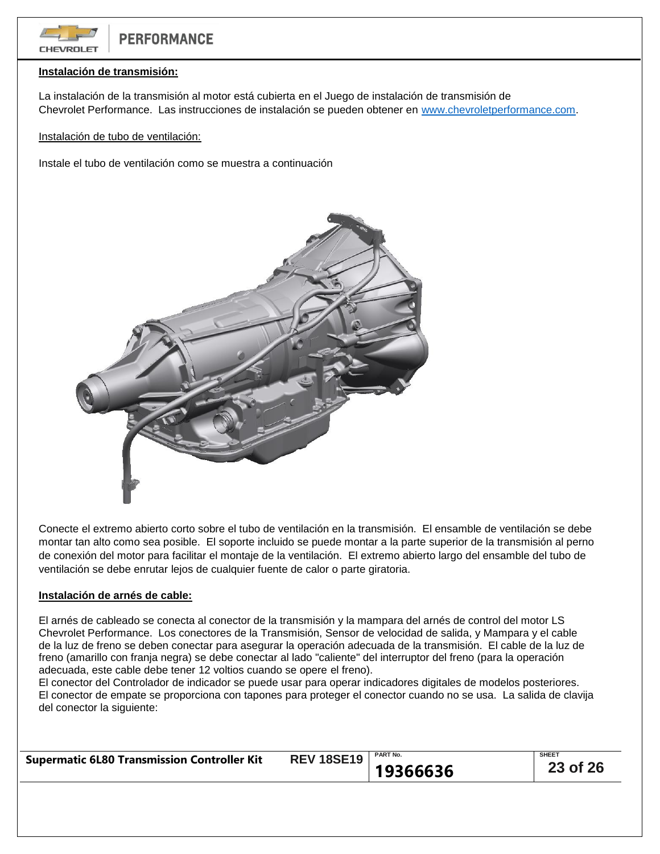

# **Instalación de transmisión:**

La instalación de la transmisión al motor está cubierta en el Juego de instalación de transmisión de Chevrolet Performance. Las instrucciones de instalación se pueden obtener en [www.chevroletperformance.com.](http://www.chevroletperformance.com/)

Instalación de tubo de ventilación:

Instale el tubo de ventilación como se muestra a continuación



Conecte el extremo abierto corto sobre el tubo de ventilación en la transmisión. El ensamble de ventilación se debe montar tan alto como sea posible. El soporte incluido se puede montar a la parte superior de la transmisión al perno de conexión del motor para facilitar el montaje de la ventilación. El extremo abierto largo del ensamble del tubo de ventilación se debe enrutar lejos de cualquier fuente de calor o parte giratoria.

## **Instalación de arnés de cable:**

El arnés de cableado se conecta al conector de la transmisión y la mampara del arnés de control del motor LS Chevrolet Performance. Los conectores de la Transmisión, Sensor de velocidad de salida, y Mampara y el cable de la luz de freno se deben conectar para asegurar la operación adecuada de la transmisión. El cable de la luz de freno (amarillo con franja negra) se debe conectar al lado "caliente" del interruptor del freno (para la operación adecuada, este cable debe tener 12 voltios cuando se opere el freno).

El conector del Controlador de indicador se puede usar para operar indicadores digitales de modelos posteriores. El conector de empate se proporciona con tapones para proteger el conector cuando no se usa. La salida de clavija del conector la siguiente:

| <b>SHEET</b><br><b>PART No.</b><br><b>REV 18SE19</b><br><b>Supermatic 6L80 Transmission Controller Kit</b><br>23 of 26<br>19366636 |
|------------------------------------------------------------------------------------------------------------------------------------|
|------------------------------------------------------------------------------------------------------------------------------------|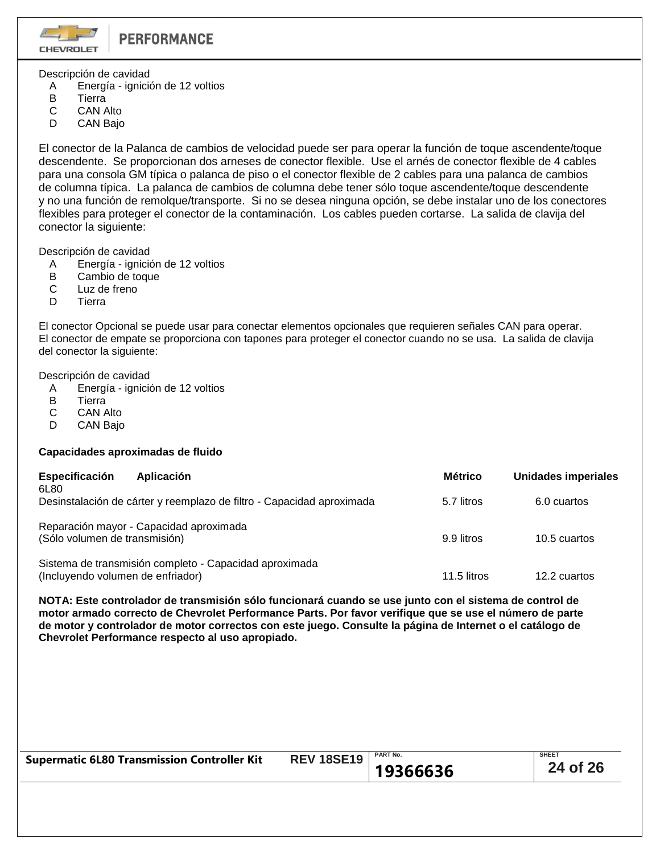

Descripción de cavidad

- A Energía ignición de 12 voltios
- B Tierra
- C CAN Alto
- D CAN Bajo

El conector de la Palanca de cambios de velocidad puede ser para operar la función de toque ascendente/toque descendente. Se proporcionan dos arneses de conector flexible. Use el arnés de conector flexible de 4 cables para una consola GM típica o palanca de piso o el conector flexible de 2 cables para una palanca de cambios de columna típica. La palanca de cambios de columna debe tener sólo toque ascendente/toque descendente y no una función de remolque/transporte. Si no se desea ninguna opción, se debe instalar uno de los conectores flexibles para proteger el conector de la contaminación. Los cables pueden cortarse. La salida de clavija del conector la siguiente:

Descripción de cavidad

- A Energía ignición de 12 voltios
- B Cambio de toque
- C Luz de freno
- D Tierra

El conector Opcional se puede usar para conectar elementos opcionales que requieren señales CAN para operar. El conector de empate se proporciona con tapones para proteger el conector cuando no se usa. La salida de clavija del conector la siguiente:

Descripción de cavidad

- A Energía ignición de 12 voltios<br>B Tierra
- **Tierra**
- C CAN Alto
- D CAN Bajo

# **Capacidades aproximadas de fluido**

| Especificación                    | Aplicación                                                            | <b>Métrico</b> | <b>Unidades imperiales</b> |  |
|-----------------------------------|-----------------------------------------------------------------------|----------------|----------------------------|--|
| 6L80                              | Desinstalación de cárter y reemplazo de filtro - Capacidad aproximada | 5.7 litros     | 6.0 cuartos                |  |
| (Sólo volumen de transmisión)     | Reparación mayor - Capacidad aproximada                               | 9.9 litros     | 10.5 cuartos               |  |
| (Incluyendo volumen de enfriador) | Sistema de transmisión completo - Capacidad aproximada                | 11.5 litros    | 12.2 cuartos               |  |

**NOTA: Este controlador de transmisión sólo funcionará cuando se use junto con el sistema de control de motor armado correcto de Chevrolet Performance Parts. Por favor verifique que se use el número de parte de motor y controlador de motor correctos con este juego. Consulte la página de Internet o el catálogo de Chevrolet Performance respecto al uso apropiado.**

| <b>Supermatic 6L80 Transmission Controller Kit</b> | <b>REV 18SE19</b>   PART No. |          | <b>SHEET</b> |
|----------------------------------------------------|------------------------------|----------|--------------|
|                                                    |                              | 19366636 | 24 of 26     |
|                                                    |                              |          |              |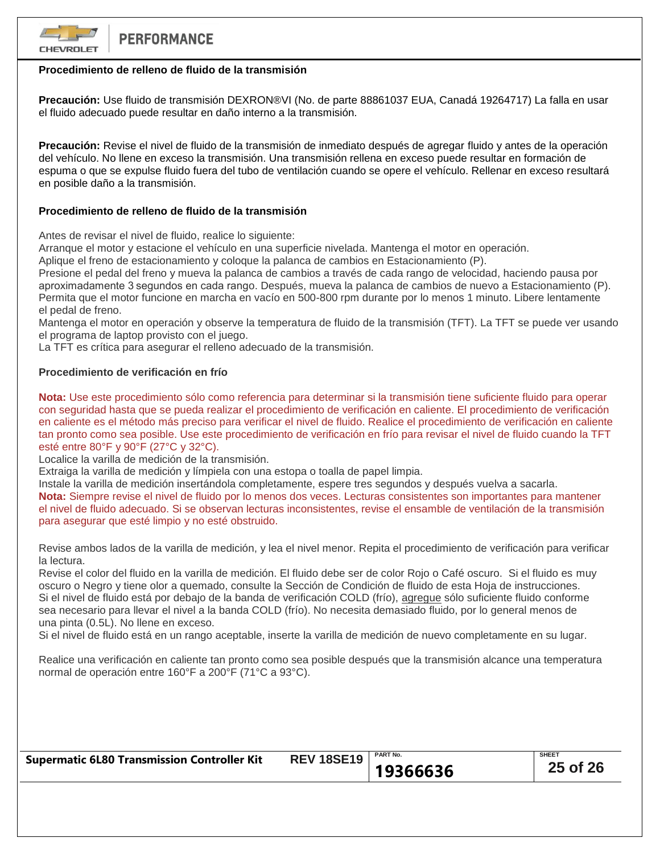

# **Procedimiento de relleno de fluido de la transmisión**

**Precaución:** Use fluido de transmisión DEXRON®VI (No. de parte 88861037 EUA, Canadá 19264717) La falla en usar el fluido adecuado puede resultar en daño interno a la transmisión.

**Precaución:** Revise el nivel de fluido de la transmisión de inmediato después de agregar fluido y antes de la operación del vehículo. No llene en exceso la transmisión. Una transmisión rellena en exceso puede resultar en formación de espuma o que se expulse fluido fuera del tubo de ventilación cuando se opere el vehículo. Rellenar en exceso resultará en posible daño a la transmisión.

## **Procedimiento de relleno de fluido de la transmisión**

Antes de revisar el nivel de fluido, realice lo siguiente:

Arranque el motor y estacione el vehículo en una superficie nivelada. Mantenga el motor en operación.

Aplique el freno de estacionamiento y coloque la palanca de cambios en Estacionamiento (P).

Presione el pedal del freno y mueva la palanca de cambios a través de cada rango de velocidad, haciendo pausa por aproximadamente 3 segundos en cada rango. Después, mueva la palanca de cambios de nuevo a Estacionamiento (P). Permita que el motor funcione en marcha en vacío en 500-800 rpm durante por lo menos 1 minuto. Libere lentamente el pedal de freno.

Mantenga el motor en operación y observe la temperatura de fluido de la transmisión (TFT). La TFT se puede ver usando el programa de laptop provisto con el juego.

La TFT es crítica para asegurar el relleno adecuado de la transmisión.

## **Procedimiento de verificación en frío**

**Nota:** Use este procedimiento sólo como referencia para determinar si la transmisión tiene suficiente fluido para operar con seguridad hasta que se pueda realizar el procedimiento de verificación en caliente. El procedimiento de verificación en caliente es el método más preciso para verificar el nivel de fluido. Realice el procedimiento de verificación en caliente tan pronto como sea posible. Use este procedimiento de verificación en frío para revisar el nivel de fluido cuando la TFT esté entre 80°F y 90°F (27°C y 32°C).

Localice la varilla de medición de la transmisión.

Extraiga la varilla de medición y límpiela con una estopa o toalla de papel limpia.

Instale la varilla de medición insertándola completamente, espere tres segundos y después vuelva a sacarla. **Nota:** Siempre revise el nivel de fluido por lo menos dos veces. Lecturas consistentes son importantes para mantener el nivel de fluido adecuado. Si se observan lecturas inconsistentes, revise el ensamble de ventilación de la transmisión para asegurar que esté limpio y no esté obstruido.

Revise ambos lados de la varilla de medición, y lea el nivel menor. Repita el procedimiento de verificación para verificar la lectura.

Revise el color del fluido en la varilla de medición. El fluido debe ser de color Rojo o Café oscuro. Si el fluido es muy oscuro o Negro y tiene olor a quemado, consulte la Sección de Condición de fluido de esta Hoja de instrucciones. Si el nivel de fluido está por debajo de la banda de verificación COLD (frío), agregue sólo suficiente fluido conforme sea necesario para llevar el nivel a la banda COLD (frío). No necesita demasiado fluido, por lo general menos de una pinta (0.5L). No llene en exceso.

Si el nivel de fluido está en un rango aceptable, inserte la varilla de medición de nuevo completamente en su lugar.

Realice una verificación en caliente tan pronto como sea posible después que la transmisión alcance una temperatura normal de operación entre 160°F a 200°F (71°C a 93°C).

| <b>Supermatic 6L80 Transmission Controller Kit</b> | <b>REV 18SE19</b> | <b>PART No.</b> | <b>SHEET</b> |
|----------------------------------------------------|-------------------|-----------------|--------------|
|                                                    |                   | 19366636        | 25 of 26     |